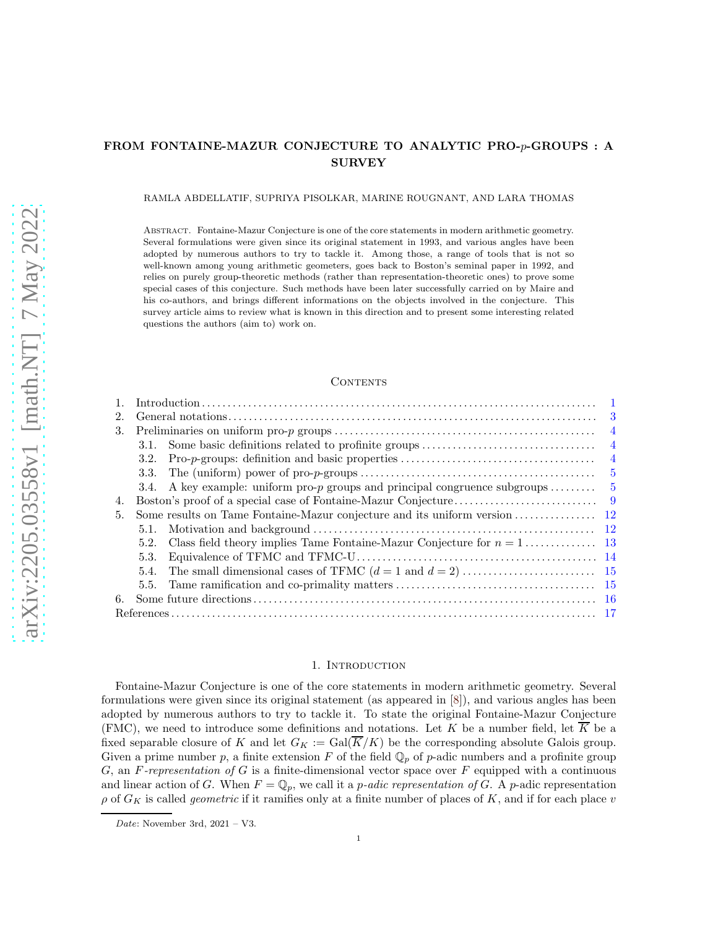# <span id="page-0-1"></span>FROM FONTAINE-MAZUR CONJECTURE TO ANALYTIC PRO-p-GROUPS : A SURVEY

### RAMLA ABDELLATIF, SUPRIYA PISOLKAR, MARINE ROUGNANT, AND LARA THOMAS

Abstract. Fontaine-Mazur Conjecture is one of the core statements in modern arithmetic geometry. Several formulations were given since its original statement in 1993, and various angles have been adopted by numerous authors to try to tackle it. Among those, a range of tools that is not so well-known among young arithmetic geometers, goes back to Boston's seminal paper in 1992, and relies on purely group-theoretic methods (rather than representation-theoretic ones) to prove some special cases of this conjecture. Such methods have been later successfully carried on by Maire and his co-authors, and brings different informations on the objects involved in the conjecture. This survey article aims to review what is known in this direction and to present some interesting related questions the authors (aim to) work on.

#### **CONTENTS**

| 3                                                                                                 |
|---------------------------------------------------------------------------------------------------|
| $\overline{4}$                                                                                    |
| $\overline{4}$                                                                                    |
| $\overline{4}$<br>3.2.                                                                            |
| - 5<br>3.3.                                                                                       |
| 3.4. A key example: uniform pro- $p$ groups and principal congruence subgroups<br>-5              |
|                                                                                                   |
|                                                                                                   |
|                                                                                                   |
| Class field theory implies Tame Fontaine-Mazur Conjecture for $n = 1, \ldots, \ldots, 13$<br>5.2. |
| 5.3.                                                                                              |
|                                                                                                   |
|                                                                                                   |
|                                                                                                   |
|                                                                                                   |
|                                                                                                   |

### 1. Introduction

<span id="page-0-0"></span>Fontaine-Mazur Conjecture is one of the core statements in modern arithmetic geometry. Several formulations were given since its original statement (as appeared in [\[8\]](#page-16-1)), and various angles has been adopted by numerous authors to try to tackle it. To state the original Fontaine-Mazur Conjecture (FMC), we need to introduce some definitions and notations. Let K be a number field, let  $\overline{K}$  be a fixed separable closure of K and let  $G_K := \text{Gal}(\overline{K}/K)$  be the corresponding absolute Galois group. Given a prime number p, a finite extension F of the field  $\mathbb{Q}_p$  of p-adic numbers and a profinite group G, an F-representation of G is a finite-dimensional vector space over F equipped with a continuous and linear action of G. When  $F = \mathbb{Q}_p$ , we call it a *p*-adic representation of G. A *p*-adic representation  $\rho$  of  $G_K$  is called *geometric* if it ramifies only at a finite number of places of K, and if for each place v

Date: November 3rd,  $2021 - V3$ .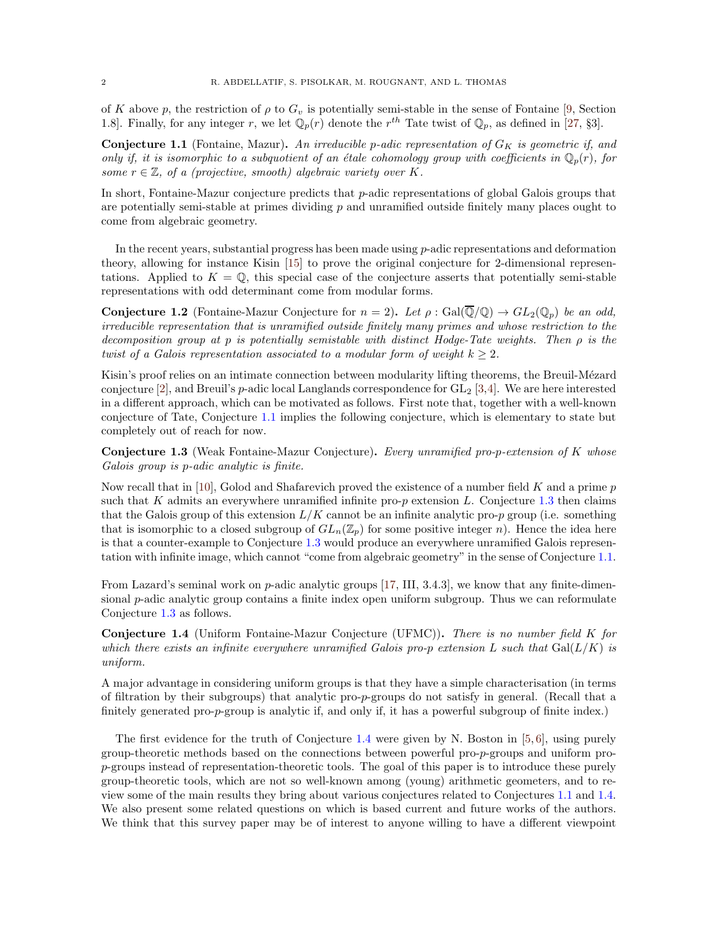<span id="page-1-3"></span>of K above p, the restriction of  $\rho$  to  $G_v$  is potentially semi-stable in the sense of Fontaine [\[9,](#page-16-2) Section 1.8]. Finally, for any integer r, we let  $\mathbb{Q}_p(r)$  denote the r<sup>th</sup> Tate twist of  $\mathbb{Q}_p$ , as defined in [\[27,](#page-16-3) §3].

<span id="page-1-0"></span>**Conjecture 1.1** (Fontaine, Mazur). An irreducible p-adic representation of  $G_K$  is geometric if, and only if, it is isomorphic to a subquotient of an étale cohomology group with coefficients in  $\mathbb{Q}_p(r)$ , for some  $r \in \mathbb{Z}$ , of a (projective, smooth) algebraic variety over K.

In short, Fontaine-Mazur conjecture predicts that  $p$ -adic representations of global Galois groups that are potentially semi-stable at primes dividing  $p$  and unramified outside finitely many places ought to come from algebraic geometry.

In the recent years, substantial progress has been made using  $p$ -adic representations and deformation theory, allowing for instance Kisin [\[15\]](#page-16-4) to prove the original conjecture for 2-dimensional representations. Applied to  $K = \mathbb{Q}$ , this special case of the conjecture asserts that potentially semi-stable representations with odd determinant come from modular forms.

**Conjecture 1.2** (Fontaine-Mazur Conjecture for  $n = 2$ ). Let  $\rho : \text{Gal}(\overline{\mathbb{Q}}/\mathbb{Q}) \to GL_2(\mathbb{Q}_p)$  be an odd, irreducible representation that is unramified outside finitely many primes and whose restriction to the decomposition group at p is potentially semistable with distinct Hodge-Tate weights. Then  $\rho$  is the twist of a Galois representation associated to a modular form of weight  $k \geq 2$ .

Kisin's proof relies on an intimate connection between modularity lifting theorems, the Breuil-Mézard conjecture [\[2\]](#page-16-5), and Breuil's p-adic local Langlands correspondence for  $GL_2$  [\[3,](#page-16-6)[4\]](#page-16-7). We are here interested in a different approach, which can be motivated as follows. First note that, together with a well-known conjecture of Tate, Conjecture [1.1](#page-1-0) implies the following conjecture, which is elementary to state but completely out of reach for now.

<span id="page-1-1"></span>Conjecture 1.3 (Weak Fontaine-Mazur Conjecture). Every unramified pro-p-extension of K whose Galois group is p-adic analytic is finite.

Now recall that in [\[10\]](#page-16-8), Golod and Shafarevich proved the existence of a number field K and a prime  $p$ such that K admits an everywhere unramified infinite pro- $p$  extension L. Conjecture [1.3](#page-1-1) then claims that the Galois group of this extension  $L/K$  cannot be an infinite analytic pro-p group (i.e. something that is isomorphic to a closed subgroup of  $GL_n(\mathbb{Z}_p)$  for some positive integer n). Hence the idea here is that a counter-example to Conjecture [1.3](#page-1-1) would produce an everywhere unramified Galois representation with infinite image, which cannot "come from algebraic geometry" in the sense of Conjecture [1.1.](#page-1-0)

From Lazard's seminal work on  $p$ -adic analytic groups [\[17,](#page-16-9) III, 3.4.3], we know that any finite-dimensional p-adic analytic group contains a finite index open uniform subgroup. Thus we can reformulate Conjecture [1.3](#page-1-1) as follows.

<span id="page-1-2"></span>Conjecture 1.4 (Uniform Fontaine-Mazur Conjecture (UFMC)). There is no number field K for which there exists an infinite everywhere unramified Galois pro-p extension L such that  $Gal(L/K)$  is uniform.

A major advantage in considering uniform groups is that they have a simple characterisation (in terms of filtration by their subgroups) that analytic pro-p-groups do not satisfy in general. (Recall that a finitely generated pro-*p*-group is analytic if, and only if, it has a powerful subgroup of finite index.)

The first evidence for the truth of Conjecture [1.4](#page-1-2) were given by N. Boston in  $[5, 6]$  $[5, 6]$ , using purely group-theoretic methods based on the connections between powerful pro-p-groups and uniform prop-groups instead of representation-theoretic tools. The goal of this paper is to introduce these purely group-theoretic tools, which are not so well-known among (young) arithmetic geometers, and to review some of the main results they bring about various conjectures related to Conjectures [1.1](#page-1-0) and [1.4.](#page-1-2) We also present some related questions on which is based current and future works of the authors. We think that this survey paper may be of interest to anyone willing to have a different viewpoint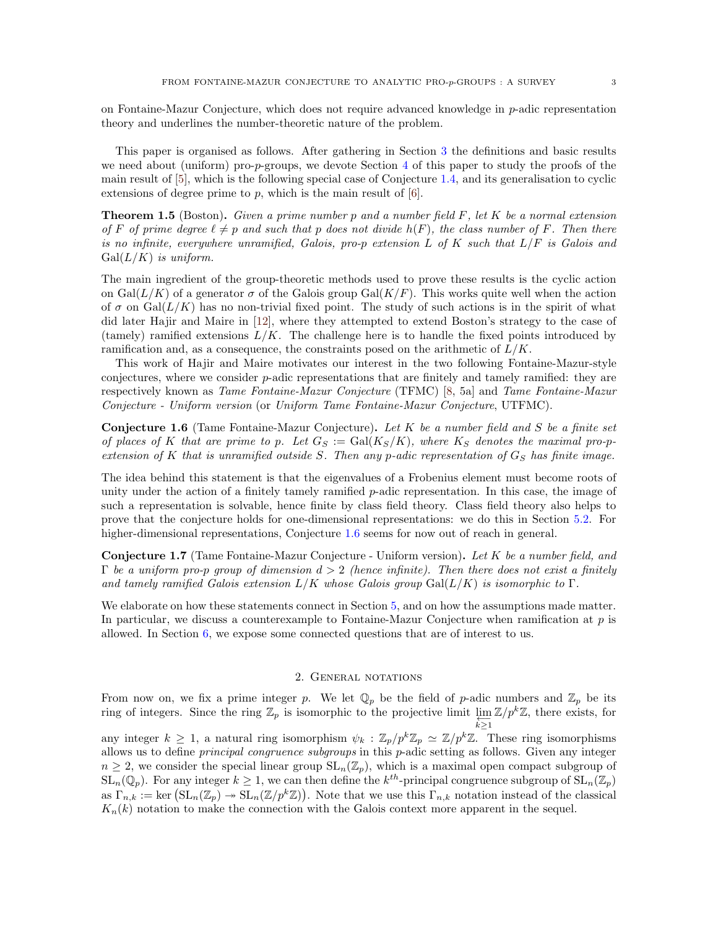<span id="page-2-4"></span>on Fontaine-Mazur Conjecture, which does not require advanced knowledge in  $p$ -adic representation theory and underlines the number-theoretic nature of the problem.

This paper is organised as follows. After gathering in Section [3](#page-3-0) the definitions and basic results we need about (uniform) pro-p-groups, we devote Section  $4$  of this paper to study the proofs of the main result of [\[5\]](#page-16-10), which is the following special case of Conjecture [1.4,](#page-1-2) and its generalisation to cyclic extensions of degree prime to  $p$ , which is the main result of  $[6]$ .

<span id="page-2-2"></span>**Theorem 1.5** (Boston). Given a prime number p and a number field  $F$ , let  $K$  be a normal extension of F of prime degree  $\ell \neq p$  and such that p does not divide  $h(F)$ , the class number of F. Then there is no infinite, everywhere unramified, Galois, pro-p extension L of K such that  $L/F$  is Galois and  $Gal(L/K)$  is uniform.

The main ingredient of the group-theoretic methods used to prove these results is the cyclic action on  $Gal(L/K)$  of a generator  $\sigma$  of the Galois group  $Gal(K/F)$ . This works quite well when the action of  $\sigma$  on Gal( $L/K$ ) has no non-trivial fixed point. The study of such actions is in the spirit of what did later Hajir and Maire in [\[12\]](#page-16-12), where they attempted to extend Boston's strategy to the case of (tamely) ramified extensions  $L/K$ . The challenge here is to handle the fixed points introduced by ramification and, as a consequence, the constraints posed on the arithmetic of  $L/K$ .

This work of Hajir and Maire motivates our interest in the two following Fontaine-Mazur-style conjectures, where we consider  $p$ -adic representations that are finitely and tamely ramified: they are respectively known as Tame Fontaine-Mazur Conjecture (TFMC) [\[8,](#page-16-1) 5a] and Tame Fontaine-Mazur Conjecture - Uniform version (or Uniform Tame Fontaine-Mazur Conjecture, UTFMC).

<span id="page-2-1"></span>**Conjecture 1.6** (Tame Fontaine-Mazur Conjecture). Let  $K$  be a number field and  $S$  be a finite set of places of K that are prime to p. Let  $G_S := \text{Gal}(K_S/K)$ , where  $K_S$  denotes the maximal pro-pextension of K that is unramified outside S. Then any p-adic representation of  $G<sub>S</sub>$  has finite image.

The idea behind this statement is that the eigenvalues of a Frobenius element must become roots of unity under the action of a finitely tamely ramified p-adic representation. In this case, the image of such a representation is solvable, hence finite by class field theory. Class field theory also helps to prove that the conjecture holds for one-dimensional representations: we do this in Section [5.2.](#page-12-0) For higher-dimensional representations, Conjecture [1.6](#page-2-1) seems for now out of reach in general.

<span id="page-2-3"></span>**Conjecture 1.7** (Tame Fontaine-Mazur Conjecture - Uniform version). Let K be a number field, and  $\Gamma$  be a uniform pro-p group of dimension  $d > 2$  (hence infinite). Then there does not exist a finitely and tamely ramified Galois extension  $L/K$  whose Galois group  $Gal(L/K)$  is isomorphic to  $\Gamma$ .

We elaborate on how these statements connect in Section [5,](#page-11-0) and on how the assumptions made matter. In particular, we discuss a counterexample to Fontaine-Mazur Conjecture when ramification at  $p$  is allowed. In Section [6,](#page-15-0) we expose some connected questions that are of interest to us.

### 2. General notations

<span id="page-2-0"></span>From now on, we fix a prime integer p. We let  $\mathbb{Q}_p$  be the field of p-adic numbers and  $\mathbb{Z}_p$  be its ring of integers. Since the ring  $\mathbb{Z}_p$  is isomorphic to the projective limit  $\varprojlim \mathbb{Z}/p^k\mathbb{Z}$ , there exists, for  $k\geq 1$ any integer  $k \ge 1$ , a natural ring isomorphism  $\psi_k : \mathbb{Z}_p/p^k \mathbb{Z}_p \simeq \mathbb{Z}/p^k \mathbb{Z}$ . These ring isomorphisms allows us to define principal congruence subgroups in this p-adic setting as follows. Given any integer  $n \geq 2$ , we consider the special linear group  $SL_n(\mathbb{Z}_p)$ , which is a maximal open compact subgroup of  $SL_n(\mathbb{Q}_p)$ . For any integer  $k \geq 1$ , we can then define the  $k^{th}$ -principal congruence subgroup of  $SL_n(\mathbb{Z}_p)$ as  $\Gamma_{n,k} := \ker \left( \mathrm{SL}_n(\mathbb{Z}_p) \twoheadrightarrow \mathrm{SL}_n(\mathbb{Z}/p^k\mathbb{Z}) \right)$ . Note that we use this  $\Gamma_{n,k}$  notation instead of the classical  $K_n(k)$  notation to make the connection with the Galois context more apparent in the sequel.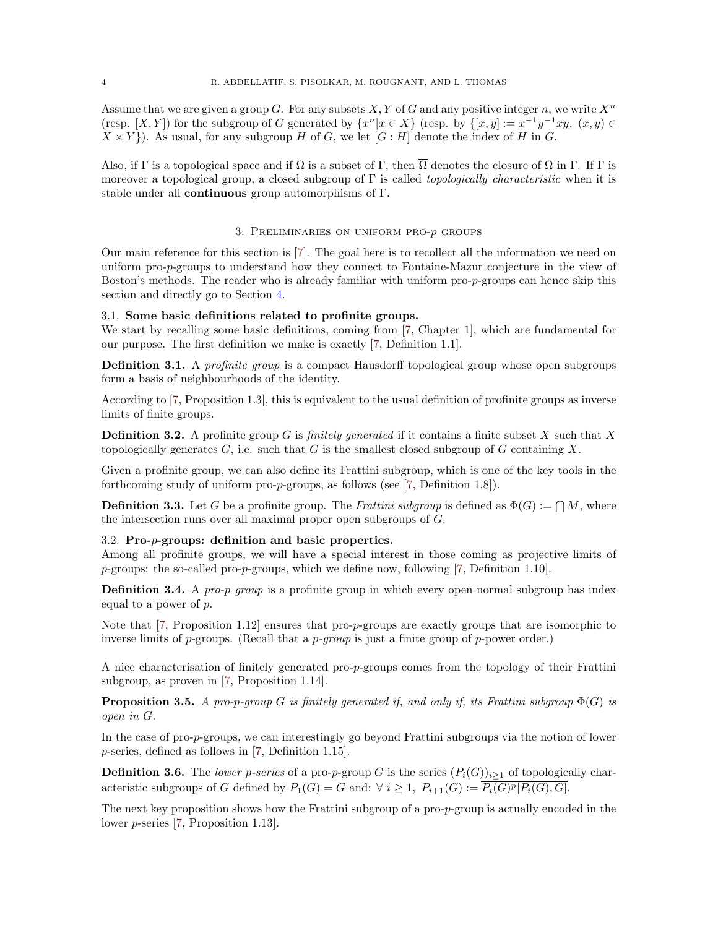<span id="page-3-5"></span>Assume that we are given a group G. For any subsets X, Y of G and any positive integer n, we write  $X^n$ (resp.  $[X, Y]$ ) for the subgroup of G generated by  $\{x^n | x \in X\}$  (resp. by  $\{[x, y] := x^{-1}y^{-1}xy, (x, y) \in$  $X \times Y$ ). As usual, for any subgroup H of G, we let  $[G : H]$  denote the index of H in G.

Also, if Γ is a topological space and if  $\Omega$  is a subset of Γ, then  $\overline{\Omega}$  denotes the closure of  $\Omega$  in Γ. If Γ is moreover a topological group, a closed subgroup of  $\Gamma$  is called *topologically characteristic* when it is stable under all continuous group automorphisms of Γ.

### 3. Preliminaries on uniform pro-p groups

<span id="page-3-0"></span>Our main reference for this section is [\[7\]](#page-16-13). The goal here is to recollect all the information we need on uniform pro-p-groups to understand how they connect to Fontaine-Mazur conjecture in the view of Boston's methods. The reader who is already familiar with uniform pro-p-groups can hence skip this section and directly go to Section [4.](#page-8-0)

# <span id="page-3-1"></span>3.1. Some basic definitions related to profinite groups.

We start by recalling some basic definitions, coming from [\[7,](#page-16-13) Chapter 1], which are fundamental for our purpose. The first definition we make is exactly [\[7,](#page-16-13) Definition 1.1].

**Definition 3.1.** A profinite group is a compact Hausdorff topological group whose open subgroups form a basis of neighbourhoods of the identity.

According to [\[7,](#page-16-13) Proposition 1.3], this is equivalent to the usual definition of profinite groups as inverse limits of finite groups.

**Definition 3.2.** A profinite group G is *finitely generated* if it contains a finite subset X such that X topologically generates  $G$ , i.e. such that G is the smallest closed subgroup of G containing X.

Given a profinite group, we can also define its Frattini subgroup, which is one of the key tools in the forthcoming study of uniform pro-p-groups, as follows (see [\[7,](#page-16-13) Definition 1.8]).

**Definition 3.3.** Let G be a profinite group. The Frattini subgroup is defined as  $\Phi(G) := \bigcap M$ , where the intersection runs over all maximal proper open subgroups of G.

# <span id="page-3-2"></span>3.2. Pro-p-groups: definition and basic properties.

Among all profinite groups, we will have a special interest in those coming as projective limits of  $p$ -groups: the so-called pro- $p$ -groups, which we define now, following [\[7,](#page-16-13) Definition 1.10].

**Definition 3.4.** A pro-p group is a profinite group in which every open normal subgroup has index equal to a power of p.

Note that [\[7,](#page-16-13) Proposition 1.12] ensures that pro-*p*-groups are exactly groups that are isomorphic to inverse limits of  $p$ -groups. (Recall that a  $p$ -group is just a finite group of  $p$ -power order.)

A nice characterisation of finitely generated pro-p-groups comes from the topology of their Frattini subgroup, as proven in [\[7,](#page-16-13) Proposition 1.14].

<span id="page-3-3"></span>**Proposition 3.5.** A pro-p-group G is finitely generated if, and only if, its Frattini subgroup  $\Phi(G)$  is open in G.

In the case of pro-p-groups, we can interestingly go beyond Frattini subgroups via the notion of lower p-series, defined as follows in [\[7,](#page-16-13) Definition 1.15].

<span id="page-3-4"></span>**Definition 3.6.** The lower p-series of a pro-p-group G is the series  $(P_i(G))_{i\geq 1}$  of topologically characteristic subgroups of G defined by  $P_1(G) = G$  and:  $\forall i \geq 1$ ,  $P_{i+1}(G) := P_i(G)^p[P_i(G), G]$ .

The next key proposition shows how the Frattini subgroup of a pro-p-group is actually encoded in the lower p-series [\[7,](#page-16-13) Proposition 1.13].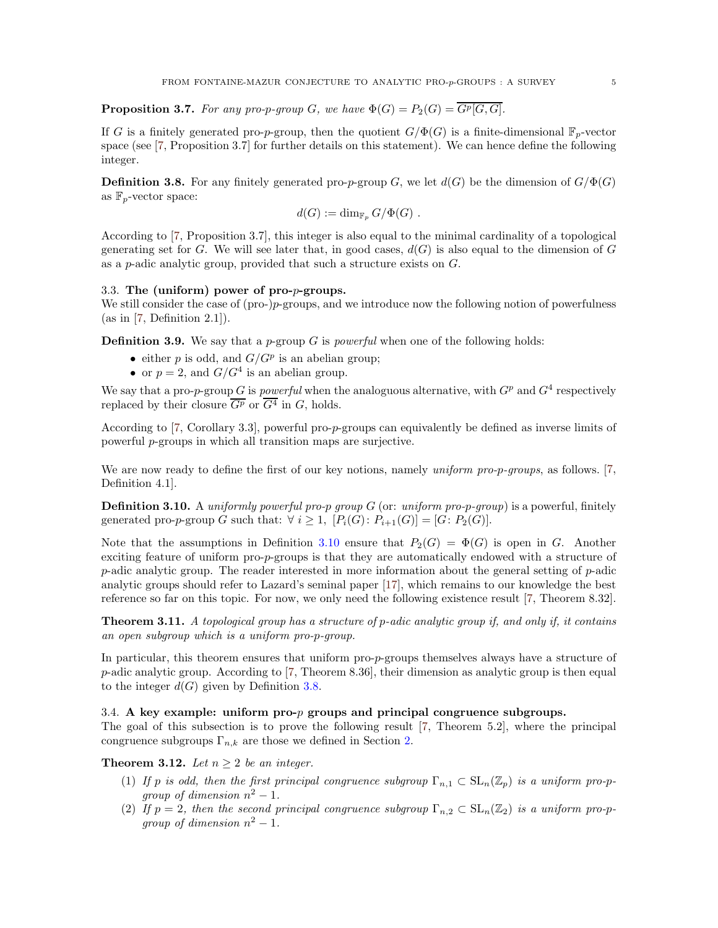<span id="page-4-7"></span><span id="page-4-4"></span>**Proposition 3.7.** For any pro-p-group G, we have  $\Phi(G) = P_2(G) = \overline{G^p[G, G]}$ .

If G is a finitely generated pro-p-group, then the quotient  $G/\Phi(G)$  is a finite-dimensional  $\mathbb{F}_p$ -vector space (see [\[7,](#page-16-13) Proposition 3.7] for further details on this statement). We can hence define the following integer.

<span id="page-4-3"></span>**Definition 3.8.** For any finitely generated pro-p-group G, we let  $d(G)$  be the dimension of  $G/\Phi(G)$ as  $\mathbb{F}_p$ -vector space:

$$
d(G) := \dim_{\mathbb{F}_p} G/\Phi(G) .
$$

According to [\[7,](#page-16-13) Proposition 3.7], this integer is also equal to the minimal cardinality of a topological generating set for G. We will see later that, in good cases,  $d(G)$  is also equal to the dimension of G as a p-adic analytic group, provided that such a structure exists on G.

# <span id="page-4-0"></span>3.3. The (uniform) power of pro-p-groups.

We still consider the case of (pro-)p-groups, and we introduce now the following notion of powerfulness  $(as in [7, Definition 2.1]).$  $(as in [7, Definition 2.1]).$  $(as in [7, Definition 2.1]).$ 

**Definition 3.9.** We say that a p-group G is powerful when one of the following holds:

- either p is odd, and  $G/G^p$  is an abelian group;
- or  $p = 2$ , and  $G/G<sup>4</sup>$  is an abelian group.

We say that a pro-p-group G is powerful when the analoguous alternative, with  $G<sup>p</sup>$  and  $G<sup>4</sup>$  respectively replaced by their closure  $\overline{G^p}$  or  $\overline{G^4}$  in G, holds.

According to [\[7,](#page-16-13) Corollary 3.3], powerful pro-p-groups can equivalently be defined as inverse limits of powerful p-groups in which all transition maps are surjective.

We are now ready to define the first of our key notions, namely *uniform pro-p-groups*, as follows. [\[7,](#page-16-13) Definition 4.1].

<span id="page-4-2"></span>**Definition 3.10.** A *uniformly powerful pro-p group G* (or: *uniform pro-p-group*) is a powerful, finitely generated pro-p-group G such that:  $\forall i \geq 1$ ,  $[P_i(G): P_{i+1}(G)] = [G: P_2(G)].$ 

Note that the assumptions in Definition [3.10](#page-4-2) ensure that  $P_2(G) = \Phi(G)$  is open in G. Another exciting feature of uniform pro-p-groups is that they are automatically endowed with a structure of p-adic analytic group. The reader interested in more information about the general setting of  $p$ -adic analytic groups should refer to Lazard's seminal paper [\[17\]](#page-16-9), which remains to our knowledge the best reference so far on this topic. For now, we only need the following existence result [\[7,](#page-16-13) Theorem 8.32].

<span id="page-4-5"></span>**Theorem 3.11.** A topological group has a structure of p-adic analytic group if, and only if, it contains an open subgroup which is a uniform pro-p-group.

In particular, this theorem ensures that uniform pro-p-groups themselves always have a structure of  $p$ -adic analytic group. According to [\[7,](#page-16-13) Theorem 8.36], their dimension as analytic group is then equal to the integer  $d(G)$  given by Definition [3.8.](#page-4-3)

# <span id="page-4-1"></span>3.4. A key example: uniform pro-p groups and principal congruence subgroups.

The goal of this subsection is to prove the following result [\[7,](#page-16-13) Theorem 5.2], where the principal congruence subgroups  $\Gamma_{n,k}$  are those we defined in Section [2.](#page-2-0)

<span id="page-4-6"></span>**Theorem 3.12.** Let  $n \geq 2$  be an integer.

- (1) If p is odd, then the first principal congruence subgroup  $\Gamma_{n,1} \subset SL_n(\mathbb{Z}_p)$  is a uniform pro-pgroup of dimension  $n^2-1$ .
- (2) If  $p = 2$ , then the second principal congruence subgroup  $\Gamma_{n,2} \subset SL_n(\mathbb{Z}_2)$  is a uniform pro-pgroup of dimension  $n^2 - 1$ .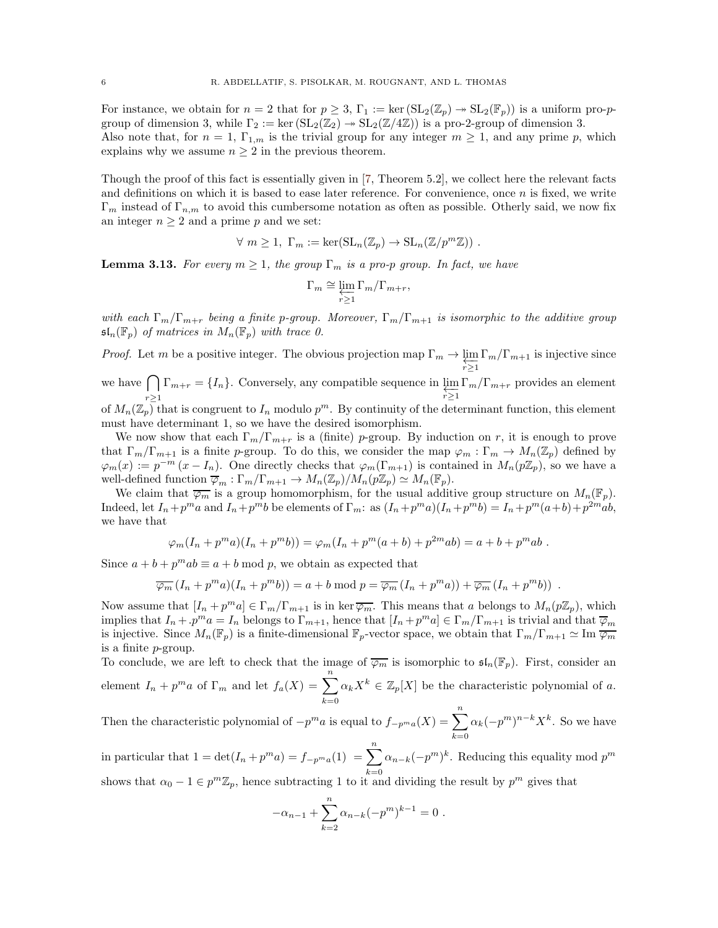<span id="page-5-1"></span>For instance, we obtain for  $n = 2$  that for  $p \geq 3$ ,  $\Gamma_1 := \ker(\mathrm{SL}_2(\mathbb{Z}_p) \to \mathrm{SL}_2(\mathbb{F}_p))$  is a uniform pro-pgroup of dimension 3, while  $\Gamma_2 := \ker \left( \mathrm{SL}_2(\mathbb{Z}_2) \to \mathrm{SL}_2(\mathbb{Z}/4\mathbb{Z}) \right)$  is a pro-2-group of dimension 3. Also note that, for  $n = 1$ ,  $\Gamma_{1,m}$  is the trivial group for any integer  $m \geq 1$ , and any prime p, which explains why we assume  $n \geq 2$  in the previous theorem.

Though the proof of this fact is essentially given in [\[7,](#page-16-13) Theorem 5.2], we collect here the relevant facts and definitions on which it is based to ease later reference. For convenience, once  $n$  is fixed, we write  $\Gamma_m$  instead of  $\Gamma_{n,m}$  to avoid this cumbersome notation as often as possible. Otherly said, we now fix an integer  $n \geq 2$  and a prime p and we set:

$$
\forall m \geq 1, \Gamma_m := \ker(\mathrm{SL}_n(\mathbb{Z}_p) \to \mathrm{SL}_n(\mathbb{Z}/p^m\mathbb{Z})) .
$$

<span id="page-5-0"></span>**Lemma 3.13.** For every  $m \geq 1$ , the group  $\Gamma_m$  is a pro-p group. In fact, we have

$$
\Gamma_m \cong \varprojlim_{r \ge 1} \Gamma_m / \Gamma_{m+r},
$$

with each  $\Gamma_m/\Gamma_{m+r}$  being a finite p-group. Moreover,  $\Gamma_m/\Gamma_{m+1}$  is isomorphic to the additive group  $\mathfrak{sl}_n(\mathbb{F}_p)$  of matrices in  $M_n(\mathbb{F}_p)$  with trace 0.

*Proof.* Let m be a positive integer. The obvious projection map  $\Gamma_m \to \varprojlim_{r \geq 1}$  $\Gamma_m/\Gamma_{m+1}$  is injective since we have  $\bigcap$  $\prod_{r\geq 1} \Gamma_{m+r} = \{I_n\}.$  Conversely, any compatible sequence in  $\varprojlim_{r\geq 1} \Gamma_m/\Gamma_{m+r}$  provides an element of  $M_n(\mathbb{Z}_p)$  that is congruent to  $I_n$  modulo  $p^m$ . By continuity of the determinant function, this element must have determinant 1, so we have the desired isomorphism.

We now show that each  $\Gamma_m/\Gamma_{m+r}$  is a (finite) p-group. By induction on r, it is enough to prove that  $\Gamma_m/\Gamma_{m+1}$  is a finite p-group. To do this, we consider the map  $\varphi_m : \Gamma_m \to M_n(\mathbb{Z}_p)$  defined by  $\varphi_m(x) := p^{-m} (x - I_n)$ . One directly checks that  $\varphi_m(\Gamma_{m+1})$  is contained in  $M_n(p\mathbb{Z}_p)$ , so we have a well-defined function  $\overline{\varphi}_m : \Gamma_m/\Gamma_{m+1} \to M_n(\mathbb{Z}_p)/M_n(p\mathbb{Z}_p) \simeq M_n(\mathbb{F}_p)$ .

We claim that  $\overline{\varphi_m}$  is a group homomorphism, for the usual additive group structure on  $M_n(\mathbb{F}_p)$ . Indeed, let  $I_n + p^m a$  and  $I_n + p^m b$  be elements of  $\Gamma_m$ : as  $(I_n + p^m a)(I_n + p^m b) = I_n + p^m (a+b) + p^2 m a b$ , we have that

$$
\varphi_m(I_n + p^m a)(I_n + p^m b)) = \varphi_m(I_n + p^m(a+b) + p^{2m}ab) = a + b + p^m ab.
$$

Since  $a + b + p^m a b \equiv a + b \mod p$ , we obtain as expected that

$$
\overline{\varphi_m}\left(I_n + p^m a\right)\left(I_n + p^m b\right) = a + b \bmod p = \overline{\varphi_m}\left(I_n + p^m a\right) + \overline{\varphi_m}\left(I_n + p^m b\right) .
$$

Now assume that  $[I_n + p^m a] \in \Gamma_m/\Gamma_{m+1}$  is in ker $\overline{\varphi_m}$ . This means that a belongs to  $M_n(p\mathbb{Z}_p)$ , which implies that  $I_n + p^m a = I_n$  belongs to  $\Gamma_{m+1}$ , hence that  $[I_n + p^m a] \in \Gamma_m / \Gamma_{m+1}$  is trivial and that  $\overline{\varphi}_m$ is injective. Since  $M_n(\mathbb{F}_p)$  is a finite-dimensional  $\mathbb{F}_p$ -vector space, we obtain that  $\Gamma_m/\Gamma_{m+1} \simeq \text{Im }\overline{\varphi_m}$ is a finite p-group.

To conclude, we are left to check that the image of  $\overline{\varphi_m}$  is isomorphic to  $\mathfrak{sl}_n(\mathbb{F}_p)$ . First, consider an element  $I_n + p^m a$  of  $\Gamma_m$  and let  $f_a(X) = \sum_{n=1}^n a_n$  $_{k=0}$  $\alpha_k X^k \in \mathbb{Z}_p[X]$  be the characteristic polynomial of a.

Then the characteristic polynomial of  $-p^m a$  is equal to  $f_{-p^m a}(X) = \sum_{n=1}^n a_n$  $k=0$  $\alpha_k(-p^m)^{n-k}X^k$ . So we have

in particular that  $1 = \det(I_n + p^m a) = f_{-p^m a}(1) = \sum_{n=1}^n$  $k=0$  $\alpha_{n-k}(-p^m)^k$ . Reducing this equality mod  $p^m$ 

shows that  $\alpha_0 - 1 \in p^m \mathbb{Z}_p$ , hence subtracting 1 to it and dividing the result by  $p^m$  gives that

$$
-\alpha_{n-1} + \sum_{k=2}^{n} \alpha_{n-k} (-p^m)^{k-1} = 0.
$$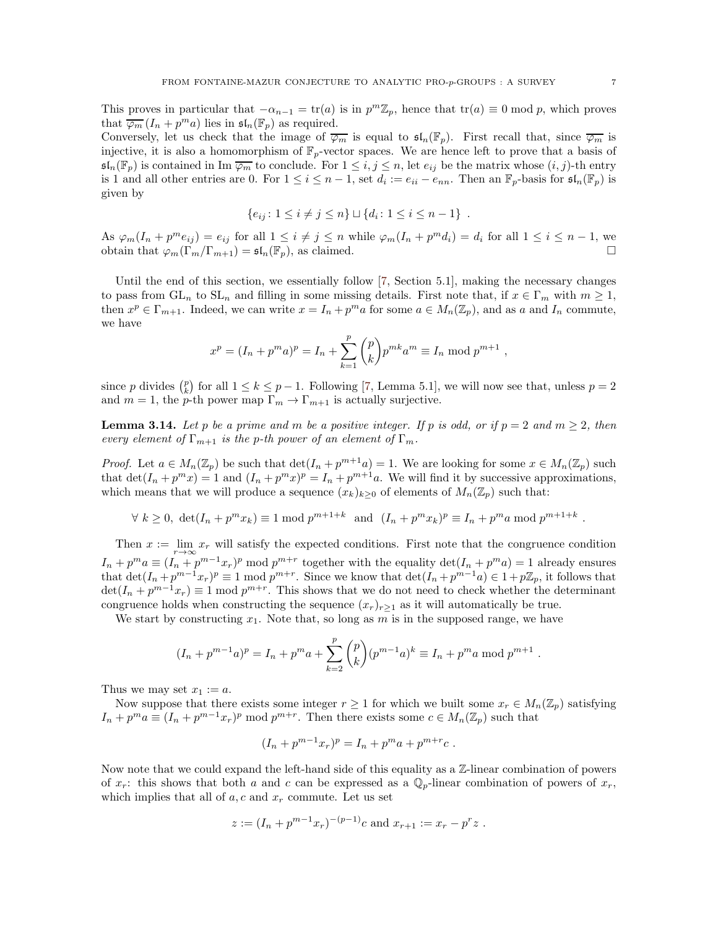<span id="page-6-1"></span>This proves in particular that  $-\alpha_{n-1} = \text{tr}(a)$  is in  $p^m \mathbb{Z}_p$ , hence that  $\text{tr}(a) \equiv 0 \mod p$ , which proves that  $\overline{\varphi_m}(I_n + p^m a)$  lies in  $\mathfrak{sl}_n(\mathbb{F}_p)$  as required.

Conversely, let us check that the image of  $\overline{\varphi_m}$  is equal to  $\mathfrak{sl}_n(\mathbb{F}_p)$ . First recall that, since  $\overline{\varphi_m}$  is injective, it is also a homomorphism of  $\mathbb{F}_p$ -vector spaces. We are hence left to prove that a basis of  $\mathfrak{sl}_n(\mathbb{F}_p)$  is contained in Im  $\overline{\varphi_m}$  to conclude. For  $1 \leq i, j \leq n$ , let  $e_{ij}$  be the matrix whose  $(i, j)$ -th entry is 1 and all other entries are 0. For  $1 \leq i \leq n-1$ , set  $d_i := e_{ii} - e_{nn}$ . Then an  $\mathbb{F}_p$ -basis for  $\mathfrak{sl}_n(\mathbb{F}_p)$  is given by

$$
\{e_{ij}: 1 \le i \ne j \le n\} \sqcup \{d_i: 1 \le i \le n-1\} .
$$

As  $\varphi_m(I_n + p^m e_{ij}) = e_{ij}$  for all  $1 \le i \ne j \le n$  while  $\varphi_m(I_n + p^m d_i) = d_i$  for all  $1 \le i \le n-1$ , we obtain that  $\varphi_m(\Gamma_m/\Gamma_{m+1}) = \mathfrak{sl}_n(\mathbb{F}_p)$ , as claimed.

Until the end of this section, we essentially follow [\[7,](#page-16-13) Section 5.1], making the necessary changes to pass from  $GL_n$  to  $SL_n$  and filling in some missing details. First note that, if  $x \in \Gamma_m$  with  $m \geq 1$ , then  $x^p \in \Gamma_{m+1}$ . Indeed, we can write  $x = I_n + p^m a$  for some  $a \in M_n(\mathbb{Z}_p)$ , and as a and  $I_n$  commute, we have

$$
x^{p} = (I_{n} + p^{m} a)^{p} = I_{n} + \sum_{k=1}^{p} {p \choose k} p^{mk} a^{m} \equiv I_{n} \bmod p^{m+1},
$$

since p divides  $\binom{p}{k}$  for all  $1 \le k \le p-1$ . Following [\[7,](#page-16-13) Lemma 5.1], we will now see that, unless  $p=2$ and  $m = 1$ , the p-th power map  $\Gamma_m \to \Gamma_{m+1}$  is actually surjective.

<span id="page-6-0"></span>**Lemma 3.14.** Let p be a prime and m be a positive integer. If p is odd, or if  $p = 2$  and  $m \ge 2$ , then every element of  $\Gamma_{m+1}$  is the p-th power of an element of  $\Gamma_m$ .

*Proof.* Let  $a \in M_n(\mathbb{Z}_p)$  be such that  $\det(I_n + p^{m+1}a) = 1$ . We are looking for some  $x \in M_n(\mathbb{Z}_p)$  such that  $\det(I_n + p^m x) = 1$  and  $(I_n + p^m x)^p = I_n + p^{m+1}a$ . We will find it by successive approximations, which means that we will produce a sequence  $(x_k)_{k>0}$  of elements of  $M_n(\mathbb{Z}_p)$  such that:

$$
\forall k \ge 0, \ \det(I_n + p^m x_k) \equiv 1 \bmod p^{m+1+k} \text{ and } (I_n + p^m x_k)^p \equiv I_n + p^m a \bmod p^{m+1+k}
$$

Then  $x := \lim_{r \to \infty} x_r$  will satisfy the expected conditions. First note that the congruence condition  $I_n + p^m a \equiv (I_n + p^{m-1}x_r)^p \mod{p^{m+r}}$  together with the equality  $\det(I_n + p^m a) = 1$  already ensures that  $\det(I_n + p^{m-1}x_r)^p \equiv 1 \mod p^{m+r}$ . Since we know that  $\det(I_n + p^{m-1}a) \in 1 + p\mathbb{Z}_p$ , it follows that  $\det(I_n + p^{m-1}x_r) \equiv 1 \mod p^{m+r}$ . This shows that we do not need to check whether the determinant congruence holds when constructing the sequence  $(x_r)_{r>1}$  as it will automatically be true.

We start by constructing  $x_1$ . Note that, so long as m is in the supposed range, we have

$$
(I_n + p^{m-1}a)^p = I_n + p^ma + \sum_{k=2}^p \binom{p}{k} (p^{m-1}a)^k \equiv I_n + p^ma \bmod p^{m+1}
$$

Thus we may set  $x_1 := a$ .

Now suppose that there exists some integer  $r \geq 1$  for which we built some  $x_r \in M_n(\mathbb{Z}_p)$  satisfying  $I_n + p^m a \equiv (I_n + p^{m-1}x_r)^p \mod p^{m+r}$ . Then there exists some  $c \in M_n(\mathbb{Z}_p)$  such that

$$
(I_n + p^{m-1}x_r)^p = I_n + p^ma + p^{m+r}c.
$$

Now note that we could expand the left-hand side of this equality as a  $\mathbb{Z}$ -linear combination of powers of  $x_r$ : this shows that both a and c can be expressed as a  $\mathbb{Q}_p$ -linear combination of powers of  $x_r$ , which implies that all of  $a, c$  and  $x_r$  commute. Let us set

$$
z := (I_n + p^{m-1}x_r)^{-(p-1)}c
$$
 and  $x_{r+1} := x_r - p^r z$ .

.

.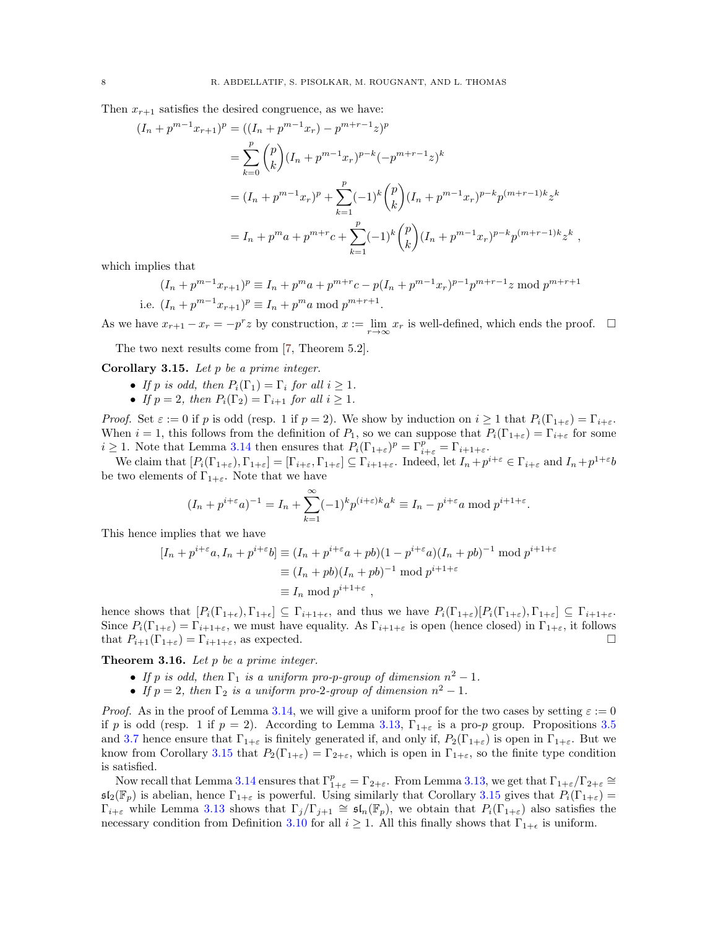<span id="page-7-1"></span>Then  $x_{r+1}$  satisfies the desired congruence, as we have:

$$
(I_n + p^{m-1}x_{r+1})^p = ((I_n + p^{m-1}x_r) - p^{m+r-1}z)^p
$$
  
= 
$$
\sum_{k=0}^p {p \choose k} (I_n + p^{m-1}x_r)^{p-k} (-p^{m+r-1}z)^k
$$
  
= 
$$
(I_n + p^{m-1}x_r)^p + \sum_{k=1}^p (-1)^k {p \choose k} (I_n + p^{m-1}x_r)^{p-k} p^{(m+r-1)k}z^k
$$
  
= 
$$
I_n + p^m a + p^{m+r}c + \sum_{k=1}^p (-1)^k {p \choose k} (I_n + p^{m-1}x_r)^{p-k} p^{(m+r-1)k}z^k,
$$

which implies that

$$
(I_n + p^{m-1}x_{r+1})^p \equiv I_n + p^ma + p^{m+r}c - p(I_n + p^{m-1}x_r)^{p-1}p^{m+r-1}z \mod p^{m+r+1}
$$
  
i.e.  $(I_n + p^{m-1}x_{r+1})^p \equiv I_n + p^ma \mod p^{m+r+1}$ .

As we have  $x_{r+1} - x_r = -p^r z$  by construction,  $x := \lim_{r \to \infty} x_r$  is well-defined, which ends the proof.  $\Box$ 

The two next results come from [\[7,](#page-16-13) Theorem 5.2].

<span id="page-7-0"></span>Corollary 3.15. Let  $p$  be a prime integer.

- If p is odd, then  $P_i(\Gamma_1) = \Gamma_i$  for all  $i \geq 1$ .
- If  $p = 2$ , then  $P_i(\Gamma_2) = \Gamma_{i+1}$  for all  $i \geq 1$ .

*Proof.* Set  $\varepsilon := 0$  if p is odd (resp. 1 if  $p = 2$ ). We show by induction on  $i \ge 1$  that  $P_i(\Gamma_{1+\varepsilon}) = \Gamma_{i+\varepsilon}$ . When  $i = 1$ , this follows from the definition of  $P_1$ , so we can suppose that  $P_i(\Gamma_{1+\varepsilon}) = \Gamma_{i+\varepsilon}$  for some  $i \geq 1$ . Note that Lemma [3.14](#page-6-0) then ensures that  $P_i(\Gamma_{1+\varepsilon})^p = \Gamma_{i+\varepsilon}^p = \Gamma_{i+1+\varepsilon}$ .

We claim that  $[P_i(\Gamma_{1+\varepsilon}), \Gamma_{1+\varepsilon}] = [\Gamma_{i+\varepsilon}, \Gamma_{1+\varepsilon}] \subseteq \Gamma_{i+1+\varepsilon}$ . Indeed, let  $I_n + p^{i+\varepsilon} \in \Gamma_{i+\varepsilon}$  and  $I_n + p^{1+\varepsilon}b$ be two elements of  $\Gamma_{1+\varepsilon}$ . Note that we have

$$
(I_n + p^{i+\varepsilon}a)^{-1} = I_n + \sum_{k=1}^{\infty} (-1)^k p^{(i+\varepsilon)k} a^k \equiv I_n - p^{i+\varepsilon}a \bmod p^{i+1+\varepsilon}
$$

.

This hence implies that we have

$$
[I_n + p^{i+\varepsilon}a, I_n + p^{i+\varepsilon}b] \equiv (I_n + p^{i+\varepsilon}a + pb)(1 - p^{i+\varepsilon}a)(I_n + pb)^{-1} \text{ mod } p^{i+1+\varepsilon}
$$
  

$$
\equiv (I_n + pb)(I_n + pb)^{-1} \text{ mod } p^{i+1+\varepsilon}
$$
  

$$
\equiv I_n \text{ mod } p^{i+1+\varepsilon},
$$

hence shows that  $[P_i(\Gamma_{1+\epsilon}), \Gamma_{1+\epsilon}] \subseteq \Gamma_{i+1+\epsilon}$ , and thus we have  $P_i(\Gamma_{1+\epsilon})[P_i(\Gamma_{1+\epsilon}), \Gamma_{1+\epsilon}] \subseteq \Gamma_{i+1+\epsilon}$ . Since  $P_i(\Gamma_{1+\varepsilon}) = \Gamma_{i+1+\varepsilon}$ , we must have equality. As  $\Gamma_{i+1+\varepsilon}$  is open (hence closed) in  $\Gamma_{1+\varepsilon}$ , it follows that  $P_{i+1}(\Gamma_{1+\varepsilon}) = \Gamma_{i+1+\varepsilon}$ , as expected.

**Theorem 3.16.** Let  $p$  be a prime integer.

- If p is odd, then  $\Gamma_1$  is a uniform pro-p-group of dimension  $n^2 1$ .
- If  $p = 2$ , then  $\Gamma_2$  is a uniform pro-2-group of dimension  $n^2 1$ .

*Proof.* As in the proof of Lemma [3.14,](#page-6-0) we will give a uniform proof for the two cases by setting  $\varepsilon := 0$ if p is odd (resp. 1 if  $p = 2$ ). According to Lemma [3.13,](#page-5-0)  $\Gamma_{1+\varepsilon}$  is a pro-p group. Propositions [3.5](#page-3-3) and [3.7](#page-4-4) hence ensure that  $\Gamma_{1+\varepsilon}$  is finitely generated if, and only if,  $P_2(\Gamma_{1+\varepsilon})$  is open in  $\Gamma_{1+\varepsilon}$ . But we know from Corollary [3.15](#page-7-0) that  $P_2(\Gamma_{1+\varepsilon}) = \Gamma_{2+\varepsilon}$ , which is open in  $\Gamma_{1+\varepsilon}$ , so the finite type condition is satisfied.

Now recall that Lemma [3.14](#page-6-0) ensures that  $\Gamma^p_{1+\varepsilon} = \Gamma_{2+\varepsilon}$ . From Lemma [3.13,](#page-5-0) we get that  $\Gamma_{1+\varepsilon}/\Gamma_{2+\varepsilon} \cong$  $\mathfrak{sl}_2(\mathbb{F}_p)$  is abelian, hence  $\Gamma_{1+\varepsilon}$  is powerful. Using similarly that Corollary [3.15](#page-7-0) gives that  $P_i(\Gamma_{1+\varepsilon}) =$  $\Gamma_{i+\varepsilon}$  while Lemma [3.13](#page-5-0) shows that  $\Gamma_j/\Gamma_{j+1} \cong \mathfrak{sl}_n(\mathbb{F}_p)$ , we obtain that  $P_i(\Gamma_{1+\varepsilon})$  also satisfies the necessary condition from Definition [3.10](#page-4-2) for all  $i \geq 1$ . All this finally shows that  $\Gamma_{1+\epsilon}$  is uniform.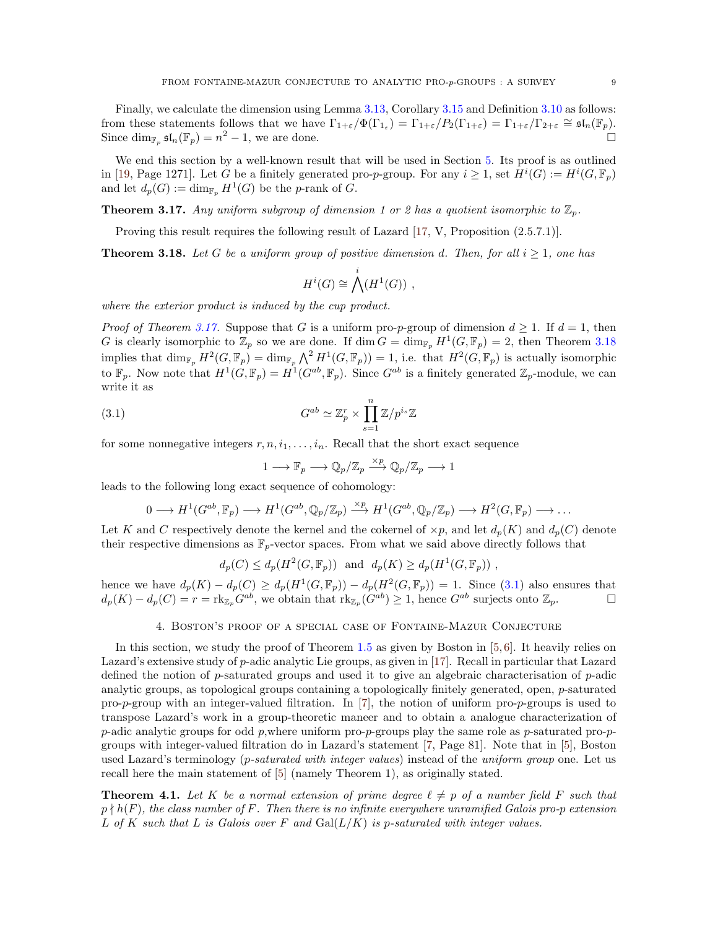<span id="page-8-5"></span>Finally, we calculate the dimension using Lemma [3.13,](#page-5-0) Corollary [3.15](#page-7-0) and Definition [3.10](#page-4-2) as follows: from these statements follows that we have  $\Gamma_{1+\varepsilon}/\Phi(\Gamma_{1_{\varepsilon}}) = \Gamma_{1+\varepsilon}/P_2(\Gamma_{1+\varepsilon}) = \Gamma_{1+\varepsilon}/\Gamma_{2+\varepsilon} \cong \mathfrak{sl}_n(\mathbb{F}_p)$ . Since  $\dim_{\mathbb{F}_p} \mathfrak{sl}_n(\mathbb{F}_p) = n^2 - 1$ , we are done.

We end this section by a well-known result that will be used in Section [5.](#page-11-0) Its proof is as outlined in [\[19,](#page-16-14) Page 1271]. Let G be a finitely generated pro-p-group. For any  $i \geq 1$ , set  $H^i(G) := H^i(G, \mathbb{F}_p)$ and let  $d_p(G) := \dim_{\mathbb{F}_p} H^1(G)$  be the *p*-rank of *G*.

<span id="page-8-1"></span>**Theorem 3.17.** Any uniform subgroup of dimension 1 or 2 has a quotient isomorphic to  $\mathbb{Z}_p$ .

Proving this result requires the following result of Lazard [\[17,](#page-16-9) V, Proposition (2.5.7.1)].

<span id="page-8-2"></span>**Theorem 3.18.** Let G be a uniform group of positive dimension d. Then, for all  $i \geq 1$ , one has

$$
H^i(G) \cong \bigwedge^i(H^1(G)) \ ,
$$

where the exterior product is induced by the cup product.

*Proof of Theorem [3.17.](#page-8-1)* Suppose that G is a uniform pro-p-group of dimension  $d > 1$ . If  $d = 1$ , then G is clearly isomorphic to  $\mathbb{Z}_p$  so we are done. If  $\dim G = \dim_{\mathbb{F}_p} H^1(G, \mathbb{F}_p) = 2$ , then Theorem [3.18](#page-8-2) implies that  $\dim_{\mathbb{F}_p} H^2(G, \mathbb{F}_p) = \dim_{\mathbb{F}_p} \bigwedge^2 H^1(G, \mathbb{F}_p) = 1$ , i.e. that  $H^2(G, \mathbb{F}_p)$  is actually isomorphic to  $\mathbb{F}_p$ . Now note that  $H^1(G,\mathbb{F}_p) = H^1(G^{ab},\mathbb{F}_p)$ . Since  $G^{ab}$  is a finitely generated  $\mathbb{Z}_p$ -module, we can write it as

(3.1) 
$$
G^{ab} \simeq \mathbb{Z}_p^r \times \prod_{s=1}^n \mathbb{Z}/p^{i_s} \mathbb{Z}
$$

for some nonnegative integers  $r, n, i_1, \ldots, i_n$ . Recall that the short exact sequence

<span id="page-8-3"></span>
$$
1 \longrightarrow \mathbb{F}_p \longrightarrow \mathbb{Q}_p/\mathbb{Z}_p \xrightarrow{\times p} \mathbb{Q}_p/\mathbb{Z}_p \longrightarrow 1
$$

leads to the following long exact sequence of cohomology:

$$
0 \longrightarrow H^1(G^{ab}, \mathbb{F}_p) \longrightarrow H^1(G^{ab}, \mathbb{Q}_p/\mathbb{Z}_p) \stackrel{\times p}{\longrightarrow} H^1(G^{ab}, \mathbb{Q}_p/\mathbb{Z}_p) \longrightarrow H^2(G, \mathbb{F}_p) \longrightarrow \dots
$$

Let K and C respectively denote the kernel and the cokernel of  $\times p$ , and let  $d_p(K)$  and  $d_p(C)$  denote their respective dimensions as  $\mathbb{F}_p$ -vector spaces. From what we said above directly follows that

$$
d_p(C) \le d_p(H^2(G, \mathbb{F}_p)) \text{ and } d_p(K) \ge d_p(H^1(G, \mathbb{F}_p)),
$$

<span id="page-8-0"></span>hence we have  $d_p(K) - d_p(C) \ge d_p(H^1(G, \mathbb{F}_p)) - d_p(H^2(G, \mathbb{F}_p)) = 1$ . Since [\(3.1\)](#page-8-3) also ensures that  $d_p(K) - d_p(C) = r = \text{rk}_{\mathbb{Z}_p} G^{ab}$ , we obtain that  $\text{rk}_{\mathbb{Z}_p}(G^{ab}) \geq 1$ , hence  $G^{ab}$  surjects onto  $\mathbb{Z}_p$ .

### 4. Boston's proof of a special case of Fontaine-Mazur Conjecture

In this section, we study the proof of Theorem [1.5](#page-2-2) as given by Boston in [\[5,](#page-16-10)[6\]](#page-16-11). It heavily relies on Lazard's extensive study of p-adic analytic Lie groups, as given in [\[17\]](#page-16-9). Recall in particular that Lazard defined the notion of p-saturated groups and used it to give an algebraic characterisation of p-adic analytic groups, as topological groups containing a topologically finitely generated, open, p-saturated pro-p-group with an integer-valued filtration. In [\[7\]](#page-16-13), the notion of uniform pro-p-groups is used to transpose Lazard's work in a group-theoretic maneer and to obtain a analogue characterization of p-adic analytic groups for odd p, where uniform pro-p-groups play the same role as p-saturated pro-pgroups with integer-valued filtration do in Lazard's statement [\[7,](#page-16-13) Page 81]. Note that in [\[5\]](#page-16-10), Boston used Lazard's terminology (*p-saturated with integer values*) instead of the *uniform group* one. Let us recall here the main statement of [\[5\]](#page-16-10) (namely Theorem 1), as originally stated.

<span id="page-8-4"></span>**Theorem 4.1.** Let K be a normal extension of prime degree  $\ell \neq p$  of a number field F such that  $p \nmid h(F)$ , the class number of F. Then there is no infinite everywhere unramified Galois pro-p extension L of K such that L is Galois over F and  $Gal(L/K)$  is p-saturated with integer values.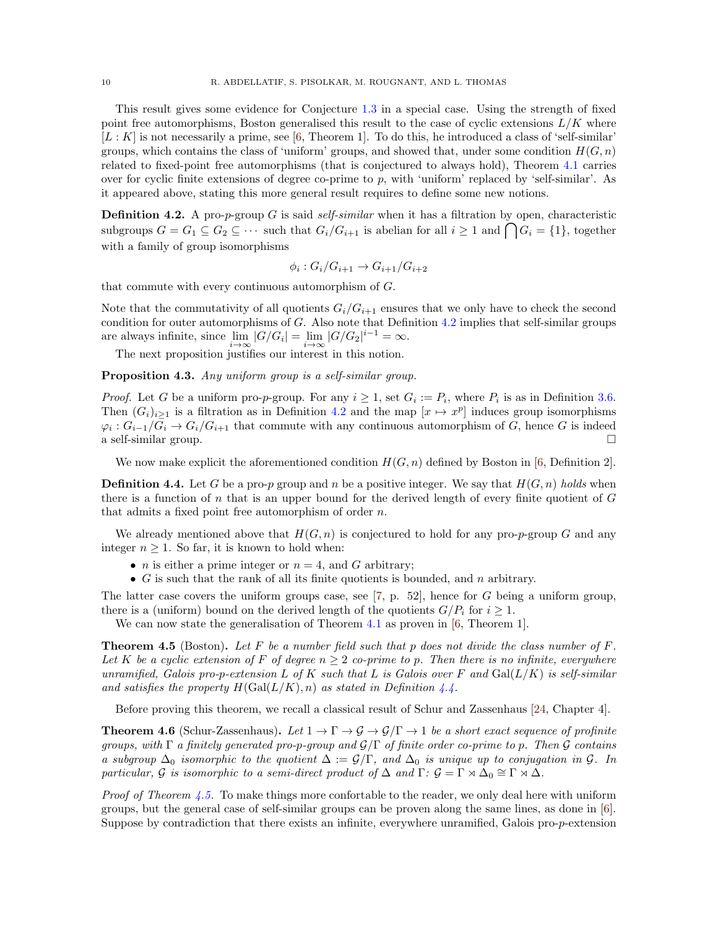<span id="page-9-4"></span>This result gives some evidence for Conjecture [1.3](#page-1-1) in a special case. Using the strength of fixed point free automorphisms, Boston generalised this result to the case of cyclic extensions  $L/K$  where  $[L: K]$  is not necessarily a prime, see [\[6,](#page-16-11) Theorem 1]. To do this, he introduced a class of 'self-similar' groups, which contains the class of 'uniform' groups, and showed that, under some condition  $H(G, n)$ related to fixed-point free automorphisms (that is conjectured to always hold), Theorem [4.1](#page-8-4) carries over for cyclic finite extensions of degree co-prime to p, with 'uniform' replaced by 'self-similar'. As it appeared above, stating this more general result requires to define some new notions.

<span id="page-9-0"></span>**Definition 4.2.** A pro-p-group G is said self-similar when it has a filtration by open, characteristic subgroups  $G = G_1 \subseteq G_2 \subseteq \cdots$  such that  $G_i/G_{i+1}$  is abelian for all  $i \geq 1$  and  $\bigcap G_i = \{1\}$ , together with a family of group isomorphisms

$$
\phi_i: G_i/G_{i+1} \to G_{i+1}/G_{i+2}
$$

that commute with every continuous automorphism of G.

Note that the commutativity of all quotients  $G_i/G_{i+1}$  ensures that we only have to check the second condition for outer automorphisms of G. Also note that Definition [4.2](#page-9-0) implies that self-similar groups are always infinite, since  $\lim_{i \to \infty} |G/G_i| = \lim_{i \to \infty} |G/G_2|^{i-1} = \infty$ .

The next proposition justifies our interest in this notion.

<span id="page-9-3"></span>Proposition 4.3. Any uniform group is a self-similar group.

*Proof.* Let G be a uniform pro-p-group. For any  $i \geq 1$ , set  $G_i := P_i$ , where  $P_i$  is as in Definition [3.6.](#page-3-4) Then  $(G_i)_{i\geq 1}$  is a filtration as in Definition [4.2](#page-9-0) and the map  $[x \mapsto x^p]$  induces group isomorphisms  $\varphi_i: G_{i-1}/G_i \to G_i/G_{i+1}$  that commute with any continuous automorphism of G, hence G is indeed a self-similar group.

We now make explicit the aforementioned condition  $H(G, n)$  defined by Boston in [\[6,](#page-16-11) Definition 2].

<span id="page-9-1"></span>**Definition 4.4.** Let G be a pro-p group and n be a positive integer. We say that  $H(G, n)$  holds when there is a function of n that is an upper bound for the derived length of every finite quotient of  $G$ that admits a fixed point free automorphism of order n.

We already mentioned above that  $H(G, n)$  is conjectured to hold for any pro-p-group G and any integer  $n \geq 1$ . So far, it is known to hold when:

- *n* is either a prime integer or  $n = 4$ , and G arbitrary;
- $G$  is such that the rank of all its finite quotients is bounded, and n arbitrary.

The latter case covers the uniform groups case, see [\[7,](#page-16-13) p. 52], hence for G being a uniform group, there is a (uniform) bound on the derived length of the quotients  $G/P_i$  for  $i \geq 1$ .

We can now state the generalisation of Theorem [4.1](#page-8-4) as proven in [\[6,](#page-16-11) Theorem 1].

<span id="page-9-2"></span>**Theorem 4.5** (Boston). Let F be a number field such that p does not divide the class number of  $F$ . Let K be a cyclic extension of F of degree  $n \geq 2$  co-prime to p. Then there is no infinite, everywhere unramified, Galois pro-p-extension L of K such that L is Galois over F and  $Gal(L/K)$  is self-similar and satisfies the property  $H(\text{Gal}(L/K), n)$  as stated in Definition [4.4.](#page-9-1)

Before proving this theorem, we recall a classical result of Schur and Zassenhaus [\[24,](#page-16-15) Chapter 4].

**Theorem 4.6** (Schur-Zassenhaus). Let  $1 \to \Gamma \to \mathcal{G} \to \mathcal{G}/\Gamma \to 1$  be a short exact sequence of profinite groups, with  $\Gamma$  a finitely generated pro-p-group and  $\mathcal{G}/\Gamma$  of finite order co-prime to p. Then  $\mathcal G$  contains a subgroup  $\Delta_0$  isomorphic to the quotient  $\Delta := \mathcal{G}/\Gamma$ , and  $\Delta_0$  is unique up to conjugation in G. In particular, G is isomorphic to a semi-direct product of  $\Delta$  and  $\Gamma: \mathcal{G} = \Gamma \rtimes \Delta_0 \cong \Gamma \rtimes \Delta$ .

*Proof of Theorem [4.5.](#page-9-2)* To make things more confortable to the reader, we only deal here with uniform groups, but the general case of self-similar groups can be proven along the same lines, as done in [\[6\]](#page-16-11). Suppose by contradiction that there exists an infinite, everywhere unramified, Galois pro-p-extension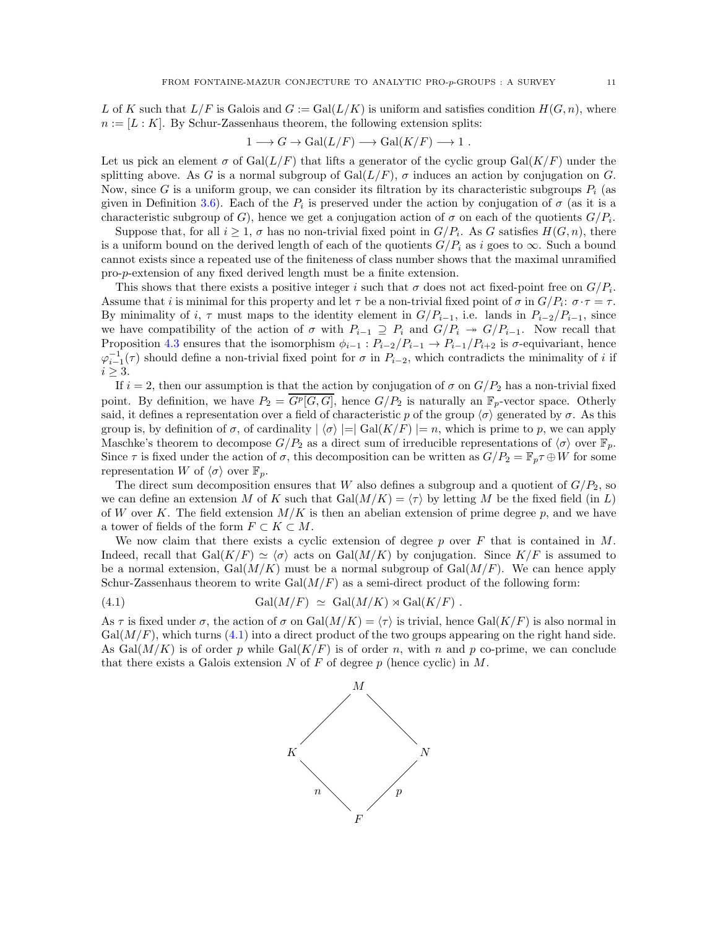L of K such that  $L/F$  is Galois and  $G := \text{Gal}(L/K)$  is uniform and satisfies condition  $H(G, n)$ , where  $n := [L : K]$ . By Schur-Zassenhaus theorem, the following extension splits:

$$
1 \longrightarrow G \longrightarrow Gal(L/F) \longrightarrow Gal(K/F) \longrightarrow 1.
$$

Let us pick an element  $\sigma$  of Gal( $L/F$ ) that lifts a generator of the cyclic group Gal( $K/F$ ) under the splitting above. As G is a normal subgroup of Gal $(L/F)$ ,  $\sigma$  induces an action by conjugation on G. Now, since G is a uniform group, we can consider its filtration by its characteristic subgroups  $P_i$  (as given in Definition [3.6\)](#page-3-4). Each of the  $P_i$  is preserved under the action by conjugation of  $\sigma$  (as it is a characteristic subgroup of G), hence we get a conjugation action of  $\sigma$  on each of the quotients  $G/P_i$ .

Suppose that, for all  $i \geq 1$ ,  $\sigma$  has no non-trivial fixed point in  $G/P_i$ . As G satisfies  $H(G, n)$ , there is a uniform bound on the derived length of each of the quotients  $G/P_i$  as i goes to  $\infty$ . Such a bound cannot exists since a repeated use of the finiteness of class number shows that the maximal unramified pro-p-extension of any fixed derived length must be a finite extension.

This shows that there exists a positive integer i such that  $\sigma$  does not act fixed-point free on  $G/P_i$ . Assume that i is minimal for this property and let  $\tau$  be a non-trivial fixed point of  $\sigma$  in  $G/P_i$ :  $\sigma \cdot \tau = \tau$ . By minimality of i,  $\tau$  must maps to the identity element in  $G/P_{i-1}$ , i.e. lands in  $P_{i-2}/P_{i-1}$ , since we have compatibility of the action of  $\sigma$  with  $P_{i-1} \supseteq P_i$  and  $G/P_i \rightarrow G/P_{i-1}$ . Now recall that Proposition [4.3](#page-9-3) ensures that the isomorphism  $\phi_{i-1}: P_{i-2}/P_{i-1} \to P_{i-1}/P_{i+2}$  is  $\sigma$ -equivariant, hence  $\varphi_{i-1}^{-1}(\tau)$  should define a non-trivial fixed point for  $\sigma$  in  $P_{i-2}$ , which contradicts the minimality of i if  $i \geq 3$ .

If  $i = 2$ , then our assumption is that the action by conjugation of  $\sigma$  on  $G/P_2$  has a non-trivial fixed point. By definition, we have  $P_2 = \overline{G^p[G, G]}$ , hence  $G/P_2$  is naturally an  $\mathbb{F}_p$ -vector space. Otherly said, it defines a representation over a field of characteristic p of the group  $\langle \sigma \rangle$  generated by  $\sigma$ . As this group is, by definition of  $\sigma$ , of cardinality  $|\langle \sigma \rangle| = |\text{Gal}(K/F)| = n$ , which is prime to p, we can apply Maschke's theorem to decompose  $G/P_2$  as a direct sum of irreducible representations of  $\langle \sigma \rangle$  over  $\mathbb{F}_p$ . Since  $\tau$  is fixed under the action of  $\sigma$ , this decomposition can be written as  $G/P_2 = \mathbb{F}_p \tau \oplus W$  for some representation W of  $\langle \sigma \rangle$  over  $\mathbb{F}_p$ .

The direct sum decomposition ensures that W also defines a subgroup and a quotient of  $G/P<sub>2</sub>$ , so we can define an extension M of K such that  $Gal(M/K) = \langle \tau \rangle$  by letting M be the fixed field (in L) of W over K. The field extension  $M/K$  is then an abelian extension of prime degree p, and we have a tower of fields of the form  $F \subset K \subset M$ .

We now claim that there exists a cyclic extension of degree p over  $F$  that is contained in M. Indeed, recall that Gal(K/F)  $\simeq \langle \sigma \rangle$  acts on Gal(M/K) by conjugation. Since K/F is assumed to be a normal extension,  $Gal(M/K)$  must be a normal subgroup of  $Gal(M/F)$ . We can hence apply Schur-Zassenhaus theorem to write  $Gal(M/F)$  as a semi-direct product of the following form:

(4.1) 
$$
\text{Gal}(M/F) \simeq \text{Gal}(M/K) \rtimes \text{Gal}(K/F) .
$$

As  $\tau$  is fixed under  $\sigma$ , the action of  $\sigma$  on Gal $(M/K) = \langle \tau \rangle$  is trivial, hence Gal $(K/F)$  is also normal in  $Gal(M/F)$ , which turns [\(4.1\)](#page-10-0) into a direct product of the two groups appearing on the right hand side. As  $Gal(M/K)$  is of order p while  $Gal(K/F)$  is of order n, with n and p co-prime, we can conclude that there exists a Galois extension  $N$  of  $F$  of degree  $p$  (hence cyclic) in  $M$ .

<span id="page-10-0"></span>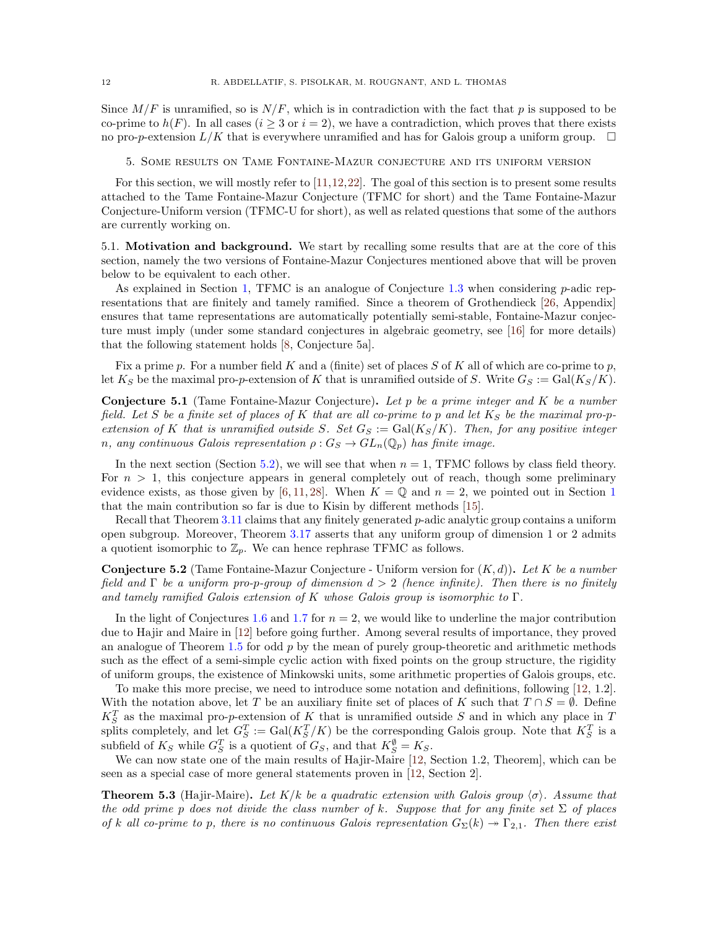<span id="page-11-2"></span>Since  $M/F$  is unramified, so is  $N/F$ , which is in contradiction with the fact that p is supposed to be co-prime to  $h(F)$ . In all cases  $(i \geq 3 \text{ or } i = 2)$ , we have a contradiction, which proves that there exists no pro-p-extension  $L/K$  that is everywhere unramified and has for Galois group a uniform group.  $\square$ 

<span id="page-11-0"></span>5. Some results on Tame Fontaine-Mazur conjecture and its uniform version

For this section, we will mostly refer to [\[11,](#page-16-16)[12,](#page-16-12)[22\]](#page-16-17). The goal of this section is to present some results attached to the Tame Fontaine-Mazur Conjecture (TFMC for short) and the Tame Fontaine-Mazur Conjecture-Uniform version (TFMC-U for short), as well as related questions that some of the authors are currently working on.

<span id="page-11-1"></span>5.1. Motivation and background. We start by recalling some results that are at the core of this section, namely the two versions of Fontaine-Mazur Conjectures mentioned above that will be proven below to be equivalent to each other.

As explained in Section [1,](#page-0-0) TFMC is an analogue of Conjecture  $1.3$  when considering  $p$ -adic representations that are finitely and tamely ramified. Since a theorem of Grothendieck [\[26,](#page-16-18) Appendix] ensures that tame representations are automatically potentially semi-stable, Fontaine-Mazur conjecture must imply (under some standard conjectures in algebraic geometry, see [\[16\]](#page-16-19) for more details) that the following statement holds [\[8,](#page-16-1) Conjecture 5a].

Fix a prime p. For a number field K and a (finite) set of places S of K all of which are co-prime to p, let  $K_S$  be the maximal pro-p-extension of K that is unramified outside of S. Write  $G_S := \text{Gal}(K_S/K)$ .

**Conjecture 5.1** (Tame Fontaine-Mazur Conjecture). Let p be a prime integer and  $K$  be a number field. Let S be a finite set of places of K that are all co-prime to p and let  $K_S$  be the maximal pro-pextension of K that is unramified outside S. Set  $G_S := \text{Gal}(K_S/K)$ . Then, for any positive integer n, any continuous Galois representation  $\rho: G_S \to GL_n(\mathbb{Q}_p)$  has finite image.

In the next section (Section [5.2\)](#page-12-0), we will see that when  $n = 1$ , TFMC follows by class field theory. For  $n > 1$ , this conjecture appears in general completely out of reach, though some preliminary evidence exists, as those given by [\[6,](#page-16-11)[11,](#page-16-16)[28\]](#page-16-20). When  $K = \mathbb{Q}$  and  $n = 2$ , we pointed out in Section [1](#page-0-0) that the main contribution so far is due to Kisin by different methods [\[15\]](#page-16-4).

Recall that Theorem [3.11](#page-4-5) claims that any finitely generated  $p$ -adic analytic group contains a uniform open subgroup. Moreover, Theorem [3.17](#page-8-1) asserts that any uniform group of dimension 1 or 2 admits a quotient isomorphic to  $\mathbb{Z}_p$ . We can hence rephrase TFMC as follows.

**Conjecture 5.2** (Tame Fontaine-Mazur Conjecture - Uniform version for  $(K, d)$ ). Let K be a number field and  $\Gamma$  be a uniform pro-p-group of dimension  $d > 2$  (hence infinite). Then there is no finitely and tamely ramified Galois extension of K whose Galois group is isomorphic to  $\Gamma$ .

In the light of Conjectures [1.6](#page-2-1) and [1.7](#page-2-3) for  $n = 2$ , we would like to underline the major contribution due to Hajir and Maire in [\[12\]](#page-16-12) before going further. Among several results of importance, they proved an analogue of Theorem [1.5](#page-2-2) for odd  $p$  by the mean of purely group-theoretic and arithmetic methods such as the effect of a semi-simple cyclic action with fixed points on the group structure, the rigidity of uniform groups, the existence of Minkowski units, some arithmetic properties of Galois groups, etc.

To make this more precise, we need to introduce some notation and definitions, following [\[12,](#page-16-12) 1.2]. With the notation above, let T be an auxiliary finite set of places of K such that  $T \cap S = \emptyset$ . Define  $K_S^T$  as the maximal pro-p-extension of K that is unramified outside S and in which any place in T splits completely, and let  $G_S^T := \text{Gal}(K_S^T/K)$  be the corresponding Galois group. Note that  $K_S^T$  is a subfield of  $K_S$  while  $G_S^T$  is a quotient of  $G_S$ , and that  $K_S^{\emptyset} = K_S$ .

We can now state one of the main results of Hajir-Maire [\[12,](#page-16-12) Section 1.2, Theorem], which can be seen as a special case of more general statements proven in [\[12,](#page-16-12) Section 2].

**Theorem 5.3** (Hajir-Maire). Let  $K/k$  be a quadratic extension with Galois group  $\langle \sigma \rangle$ . Assume that the odd prime p does not divide the class number of k. Suppose that for any finite set  $\Sigma$  of places of k all co-prime to p, there is no continuous Galois representation  $G_{\Sigma}(k) \rightarrow \Gamma_{2,1}$ . Then there exist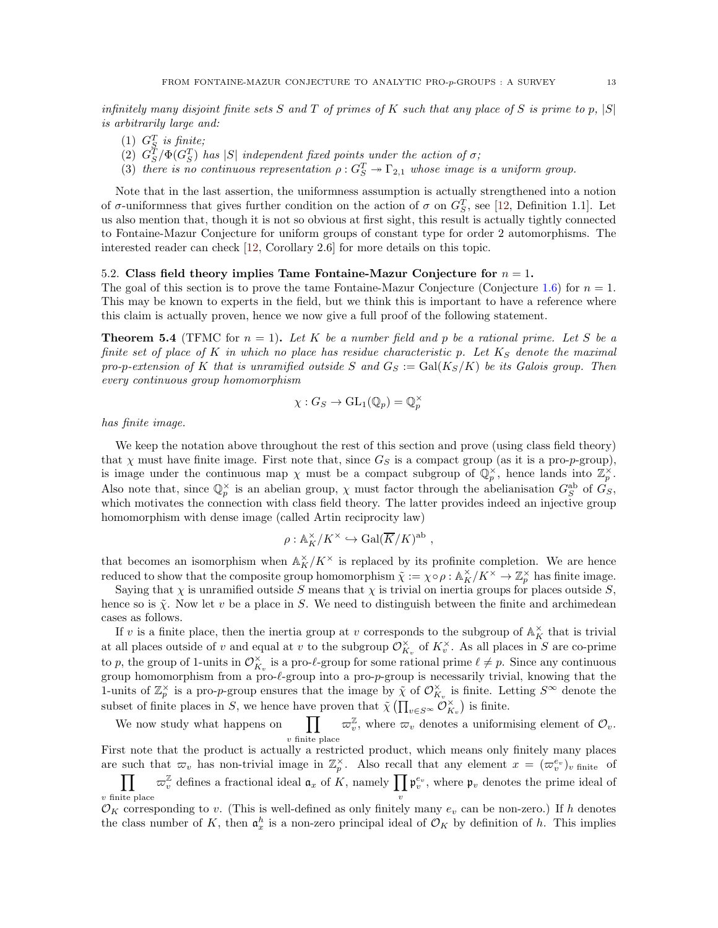<span id="page-12-2"></span>infinitely many disjoint finite sets S and T of primes of K such that any place of S is prime to p,  $|S|$ is arbitrarily large and:

- (1)  $G_S^T$  is finite;
- (2)  $G_S^T/\Phi(G_S^T)$  has  $|S|$  independent fixed points under the action of  $\sigma$ ;
- (3) there is no continuous representation  $\rho: G_S^T \to \Gamma_{2,1}$  whose image is a uniform group.

Note that in the last assertion, the uniformness assumption is actually strengthened into a notion of  $\sigma$ -uniformness that gives further condition on the action of  $\sigma$  on  $G_S^T$ , see [\[12,](#page-16-12) Definition 1.1]. Let us also mention that, though it is not so obvious at first sight, this result is actually tightly connected to Fontaine-Mazur Conjecture for uniform groups of constant type for order 2 automorphisms. The interested reader can check [\[12,](#page-16-12) Corollary 2.6] for more details on this topic.

#### <span id="page-12-0"></span>5.2. Class field theory implies Tame Fontaine-Mazur Conjecture for  $n = 1$ .

The goal of this section is to prove the tame Fontaine-Mazur Conjecture (Conjecture [1.6\)](#page-2-1) for  $n = 1$ . This may be known to experts in the field, but we think this is important to have a reference where this claim is actually proven, hence we now give a full proof of the following statement.

<span id="page-12-1"></span>**Theorem 5.4** (TFMC for  $n = 1$ ). Let K be a number field and p be a rational prime. Let S be a finite set of place of K in which no place has residue characteristic p. Let  $K<sub>S</sub>$  denote the maximal pro-p-extension of K that is unramified outside S and  $G_S := \text{Gal}(K_S/K)$  be its Galois group. Then every continuous group homomorphism

$$
\chi: G_S \to \mathrm{GL}_1(\mathbb{Q}_p) = \mathbb{Q}_p^\times
$$

has finite image.

We keep the notation above throughout the rest of this section and prove (using class field theory) that  $\chi$  must have finite image. First note that, since  $G_S$  is a compact group (as it is a pro-p-group), is image under the continuous map  $\chi$  must be a compact subgroup of  $\mathbb{Q}_p^{\times}$ , hence lands into  $\mathbb{Z}_p^{\times}$ . Also note that, since  $\mathbb{Q}_p^{\times}$  is an abelian group,  $\chi$  must factor through the abelianisation  $G_S^{ab}$  of  $G_S$ , which motivates the connection with class field theory. The latter provides indeed an injective group homomorphism with dense image (called Artin reciprocity law)

$$
\rho: \mathbb{A}_K^\times / K^\times \hookrightarrow \mathrm{Gal}(\overline{K}/K)^\mathrm{ab} ,
$$

that becomes an isomorphism when  $\mathbb{A}_{K}^{\times}/K^{\times}$  is replaced by its profinite completion. We are hence reduced to show that the composite group homomorphism  $\tilde{\chi} := \chi \circ \rho : \mathbb{A}_K^{\times}/K^{\times} \to \mathbb{Z}_p^{\times}$  has finite image.

Saying that  $\chi$  is unramified outside S means that  $\chi$  is trivial on inertia groups for places outside S, hence so is  $\tilde{\chi}$ . Now let v be a place in S. We need to distinguish between the finite and archimedean cases as follows.

If v is a finite place, then the inertia group at v corresponds to the subgroup of  $\mathbb{A}_{K}^{\times}$  that is trivial at all places outside of v and equal at v to the subgroup  $\mathcal{O}_{K_v}^{\times}$  of  $K_v^{\times}$ . As all places in S are co-prime to p, the group of 1-units in  $\mathcal{O}_{K_v}^{\times}$  is a pro- $\ell$ -group for some rational prime  $\ell \neq p$ . Since any continuous group homomorphism from a pro-ℓ-group into a pro-p-group is necessarily trivial, knowing that the 1-units of  $\mathbb{Z}_p^{\times}$  is a pro-p-group ensures that the image by  $\tilde{\chi}$  of  $\mathcal{O}_{K_v}^{\times}$  is finite. Letting  $S^{\infty}$  denote the subset of finite places in S, we hence have proven that  $\tilde{\chi}(\prod_{v \in S^{\infty}} \tilde{\mathcal{O}}_{K_v}^{\times})$  is finite.

We now study what happens on  $\prod \sigma_v^{\mathbb{Z}}$ , where  $\sigma_v$  denotes a uniformising element of  $\mathcal{O}_v$ .  $v$  finite place

First note that the product is actually a restricted product, which means only finitely many places are such that  $\varpi_v$  has non-trivial image in  $\mathbb{Z}_p^{\times}$ . Also recall that any element  $x = (\varpi_v^{e_v})_v$  finite of  $\prod$ v finite place  $\varpi_v^{\mathbb{Z}}$  defines a fractional ideal  $\mathfrak{a}_x$  of K, namely  $\prod \mathfrak{p}_v^{e_v}$ , where  $\mathfrak{p}_v$  denotes the prime ideal of v

 $\mathcal{O}_K$  corresponding to v. (This is well-defined as only finitely many  $e_v$  can be non-zero.) If h denotes the class number of K, then  $\mathfrak{a}_x^h$  is a non-zero principal ideal of  $\mathcal{O}_K$  by definition of h. This implies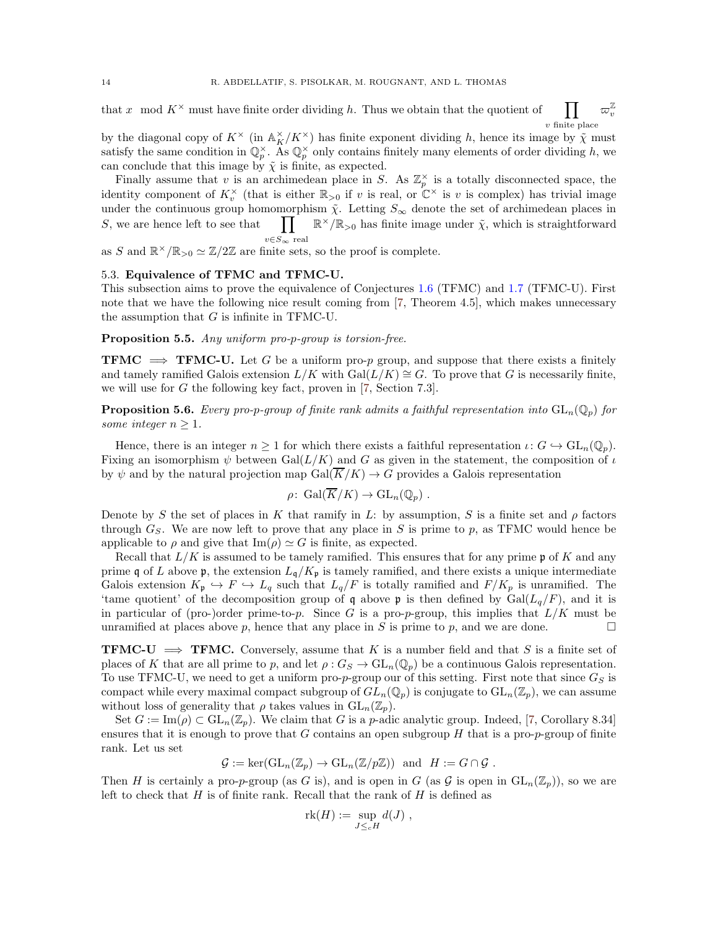$\varpi_v^{\mathbb Z}$ v

<span id="page-13-2"></span>that x mod  $K^{\times}$  must have finite order dividing h. Thus we obtain that the quotient of  $\prod$  $v$  finite place

by the diagonal copy of  $K^{\times}$  (in  $\mathbb{A}_{K}^{\times}/K^{\times}$ ) has finite exponent dividing h, hence its image by  $\tilde{\chi}$  must satisfy the same condition in  $\mathbb{Q}_p^{\times}$ . As  $\mathbb{Q}_p^{\times}$  only contains finitely many elements of order dividing h, we can conclude that this image by  $\tilde{\chi}$  is finite, as expected.

Finally assume that v is an archimedean place in S. As  $\mathbb{Z}_p^{\times}$  is a totally disconnected space, the identity component of  $K_v^{\times}$  (that is either  $\mathbb{R}_{>0}$  if v is real, or  $\mathbb{C}^{\times}$  is v is complex) has trivial image under the continuous group homomorphism  $\tilde{\chi}$ . Letting  $S_{\infty}$  denote the set of archimedean places in  $S$ , we are hence left to see that  $v\in S_\infty$  real  $\mathbb{R}^{\times}/\mathbb{R}_{>0}$  has finite image under  $\tilde{\chi}$ , which is straightforward

<span id="page-13-0"></span>as S and  $\mathbb{R}^{\times}/\mathbb{R}_{>0} \simeq \mathbb{Z}/2\mathbb{Z}$  are finite sets, so the proof is complete.

### 5.3. Equivalence of TFMC and TFMC-U.

This subsection aims to prove the equivalence of Conjectures [1.6](#page-2-1) (TFMC) and [1.7](#page-2-3) (TFMC-U). First note that we have the following nice result coming from [\[7,](#page-16-13) Theorem 4.5], which makes unnecessary the assumption that  $G$  is infinite in TFMC-U.

### <span id="page-13-1"></span>Proposition 5.5. Any uniform pro-p-group is torsion-free.

**TFMC**  $\implies$  **TFMC-U.** Let G be a uniform pro-p group, and suppose that there exists a finitely and tamely ramified Galois extension  $L/K$  with  $Gal(L/K) \cong G$ . To prove that G is necessarily finite, we will use for G the following key fact, proven in [\[7,](#page-16-13) Section 7.3].

**Proposition 5.6.** Every pro-p-group of finite rank admits a faithful representation into  $GL_n(\mathbb{Q}_p)$  for some integer  $n \geq 1$ .

Hence, there is an integer  $n \geq 1$  for which there exists a faithful representation  $\iota: G \hookrightarrow GL_n(\mathbb{Q}_p)$ . Fixing an isomorphism  $\psi$  between Gal( $L/K$ ) and G as given in the statement, the composition of  $\iota$ by  $\psi$  and by the natural projection map Gal( $\overline{K}/K$ )  $\rightarrow$  G provides a Galois representation

$$
\rho\colon \operatorname{Gal}(\overline{K}/K) \to \operatorname{GL}_n(\mathbb{Q}_p) .
$$

Denote by S the set of places in K that ramify in L: by assumption, S is a finite set and  $\rho$  factors through  $G_S$ . We are now left to prove that any place in S is prime to p, as TFMC would hence be applicable to  $\rho$  and give that  $\text{Im}(\rho) \simeq G$  is finite, as expected.

Recall that  $L/K$  is assumed to be tamely ramified. This ensures that for any prime p of K and any prime q of L above p, the extension  $L_q/K_p$  is tamely ramified, and there exists a unique intermediate Galois extension  $K_{\mathfrak{p}} \hookrightarrow F \hookrightarrow L_q$  such that  $L_q/F$  is totally ramified and  $F/K_p$  is unramified. The 'tame quotient' of the decomposition group of q above p is then defined by  $Gal(L_q/F)$ , and it is in particular of (pro-)order prime-to-p. Since G is a pro-p-group, this implies that  $L/K$  must be unramified at places above p, hence that any place in S is prime to p, and we are done.

**TFMC-U**  $\implies$  **TFMC.** Conversely, assume that K is a number field and that S is a finite set of places of K that are all prime to p, and let  $\rho: G_S \to GL_n(\mathbb{Q}_p)$  be a continuous Galois representation. To use TFMC-U, we need to get a uniform pro-p-group our of this setting. First note that since  $G_S$  is compact while every maximal compact subgroup of  $GL_n(\mathbb{Q}_p)$  is conjugate to  $GL_n(\mathbb{Z}_p)$ , we can assume without loss of generality that  $\rho$  takes values in  $GL_n(\mathbb{Z}_p)$ .

Set  $G := \text{Im}(\rho) \subset \text{GL}_n(\mathbb{Z}_p)$ . We claim that G is a p-adic analytic group. Indeed, [\[7,](#page-16-13) Corollary 8.34] ensures that it is enough to prove that  $G$  contains an open subgroup  $H$  that is a pro-p-group of finite rank. Let us set

$$
\mathcal{G} := \ker(\mathrm{GL}_n(\mathbb{Z}_p) \to \mathrm{GL}_n(\mathbb{Z}/p\mathbb{Z})) \text{ and } H := G \cap \mathcal{G} .
$$

Then H is certainly a pro-p-group (as G is), and is open in G (as G is open in  $GL_n(\mathbb{Z}_p)$ ), so we are left to check that  $H$  is of finite rank. Recall that the rank of  $H$  is defined as

$$
rk(H) := \sup_{J \leq_c H} d(J) ,
$$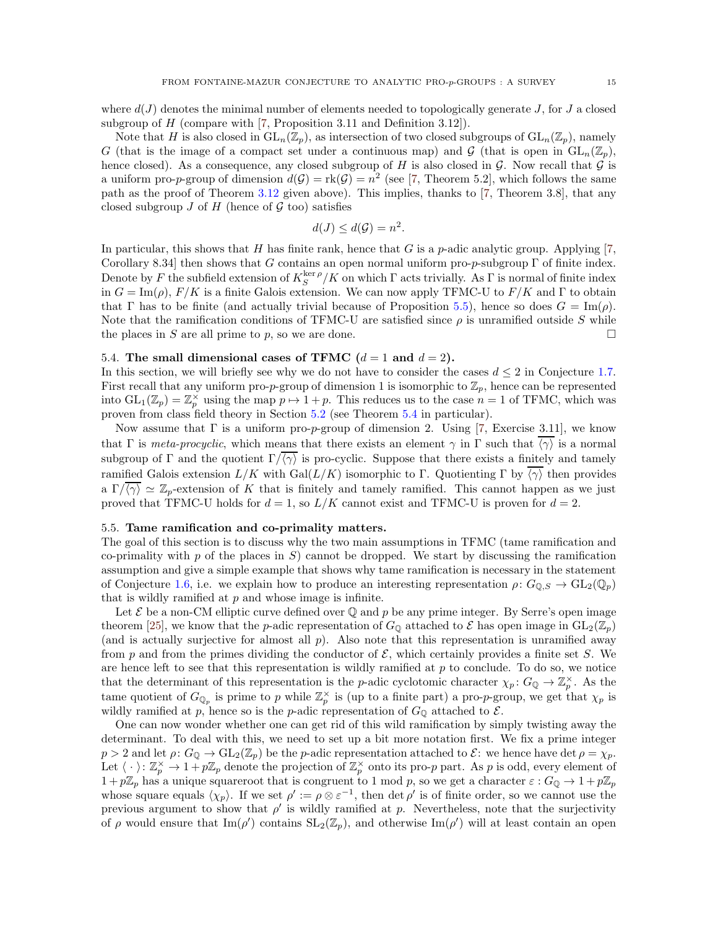<span id="page-14-2"></span>Note that H is also closed in  $GL_n(\mathbb{Z}_p)$ , as intersection of two closed subgroups of  $GL_n(\mathbb{Z}_p)$ , namely G (that is the image of a compact set under a continuous map) and  $\mathcal G$  (that is open in  $GL_n(\mathbb Z_p)$ , hence closed). As a consequence, any closed subgroup of H is also closed in  $\mathcal G$ . Now recall that  $\mathcal G$  is a uniform pro-p-group of dimension  $d(G) = \text{rk}(G) = n^2$  (see [\[7,](#page-16-13) Theorem 5.2], which follows the same path as the proof of Theorem [3.12](#page-4-6) given above). This implies, thanks to [\[7,](#page-16-13) Theorem 3.8], that any closed subgroup  $J$  of  $H$  (hence of  $\mathcal G$  too) satisfies

$$
d(J) \leq d(\mathcal{G}) = n^2.
$$

In particular, this shows that H has finite rank, hence that G is a p-adic analytic group. Applying  $[7, 6]$ Corollary 8.34] then shows that G contains an open normal uniform pro-p-subgroup  $\Gamma$  of finite index. Denote by F the subfield extension of  $K_S^{\text{ker }\rho}/K$  on which  $\Gamma$  acts trivially. As  $\Gamma$  is normal of finite index in  $G = \text{Im}(\rho)$ ,  $F/K$  is a finite Galois extension. We can now apply TFMC-U to  $F/K$  and  $\Gamma$  to obtain that Γ has to be finite (and actually trivial because of Proposition [5.5\)](#page-13-1), hence so does  $G = \text{Im}(\rho)$ . Note that the ramification conditions of TFMC-U are satisfied since  $\rho$  is unramified outside S while the places in S are all prime to p, so we are done.

### <span id="page-14-0"></span>5.4. The small dimensional cases of TFMC  $(d = 1 \text{ and } d = 2)$ .

In this section, we will briefly see why we do not have to consider the cases  $d \leq 2$  in Conjecture [1.7.](#page-2-3) First recall that any uniform pro-p-group of dimension 1 is isomorphic to  $\mathbb{Z}_p$ , hence can be represented into  $GL_1(\mathbb{Z}_p) = \mathbb{Z}_p^{\times}$  using the map  $p \mapsto 1+p$ . This reduces us to the case  $n = 1$  of TFMC, which was proven from class field theory in Section [5.2](#page-12-0) (see Theorem [5.4](#page-12-1) in particular).

Now assume that  $\Gamma$  is a uniform pro-*p*-group of dimension 2. Using [\[7,](#page-16-13) Exercise 3.11], we know that Γ is meta-procyclic, which means that there exists an element  $\gamma$  in Γ such that  $\overline{\langle \gamma \rangle}$  is a normal subgroup of Γ and the quotient  $\Gamma/\overline{\langle \gamma \rangle}$  is pro-cyclic. Suppose that there exists a finitely and tamely ramified Galois extension  $L/K$  with  $Gal(L/K)$  isomorphic to Γ. Quotienting Γ by  $\overline{\langle \gamma \rangle}$  then provides a  $\Gamma/\overline{\langle\gamma\rangle} \simeq \mathbb{Z}_p$ -extension of K that is finitely and tamely ramified. This cannot happen as we just proved that TFMC-U holds for  $d = 1$ , so  $L/K$  cannot exist and TFMC-U is proven for  $d = 2$ .

### <span id="page-14-1"></span>5.5. Tame ramification and co-primality matters.

The goal of this section is to discuss why the two main assumptions in TFMC (tame ramification and co-primality with p of the places in  $S$ ) cannot be dropped. We start by discussing the ramification assumption and give a simple example that shows why tame ramification is necessary in the statement of Conjecture [1.6,](#page-2-1) i.e. we explain how to produce an interesting representation  $\rho: G_{\mathbb{Q},S} \to GL_2(\mathbb{Q}_p)$ that is wildly ramified at  $p$  and whose image is infinite.

Let  $\mathcal E$  be a non-CM elliptic curve defined over  $\mathbb Q$  and  $p$  be any prime integer. By Serre's open image theorem [\[25\]](#page-16-21), we know that the p-adic representation of  $G_0$  attached to  $\mathcal E$  has open image in  $GL_2(\mathbb Z_p)$ (and is actually surjective for almost all  $p$ ). Also note that this representation is unramified away from p and from the primes dividing the conductor of  $\mathcal{E}$ , which certainly provides a finite set S. We are hence left to see that this representation is wildly ramified at  $p$  to conclude. To do so, we notice that the determinant of this representation is the *p*-adic cyclotomic character  $\chi_p: G_{\mathbb{Q}} \to \mathbb{Z}_p^{\times}$ . As the tame quotient of  $G_{\mathbb{Q}_p}$  is prime to p while  $\mathbb{Z}_p^{\times}$  is (up to a finite part) a pro-p-group, we get that  $\chi_p$  is wildly ramified at p, hence so is the p-adic representation of  $G_{\mathbb{Q}}$  attached to  $\mathcal{E}$ .

One can now wonder whether one can get rid of this wild ramification by simply twisting away the determinant. To deal with this, we need to set up a bit more notation first. We fix a prime integer  $p > 2$  and let  $\rho: G_{\mathbb{Q}} \to GL_2(\mathbb{Z}_p)$  be the p-adic representation attached to  $\mathcal{E}:$  we hence have det  $\rho = \chi_p$ . Let  $\langle \cdot \rangle: \mathbb{Z}_p^{\times} \to 1 + p\mathbb{Z}_p$  denote the projection of  $\mathbb{Z}_p^{\times}$  onto its pro-p part. As p is odd, every element of  $1+p\mathbb{Z}_p$  has a unique squareroot that is congruent to 1 mod p, so we get a character  $\varepsilon: G_{\mathbb{Q}} \to 1+p\mathbb{Z}_p$ whose square equals  $\langle \chi_p \rangle$ . If we set  $\rho' := \rho \otimes \varepsilon^{-1}$ , then  $\det \rho'$  is of finite order, so we cannot use the previous argument to show that  $\rho'$  is wildly ramified at p. Nevertheless, note that the surjectivity of  $\rho$  would ensure that  $\text{Im}(\rho')$  contains  $SL_2(\mathbb{Z}_p)$ , and otherwise  $\text{Im}(\rho')$  will at least contain an open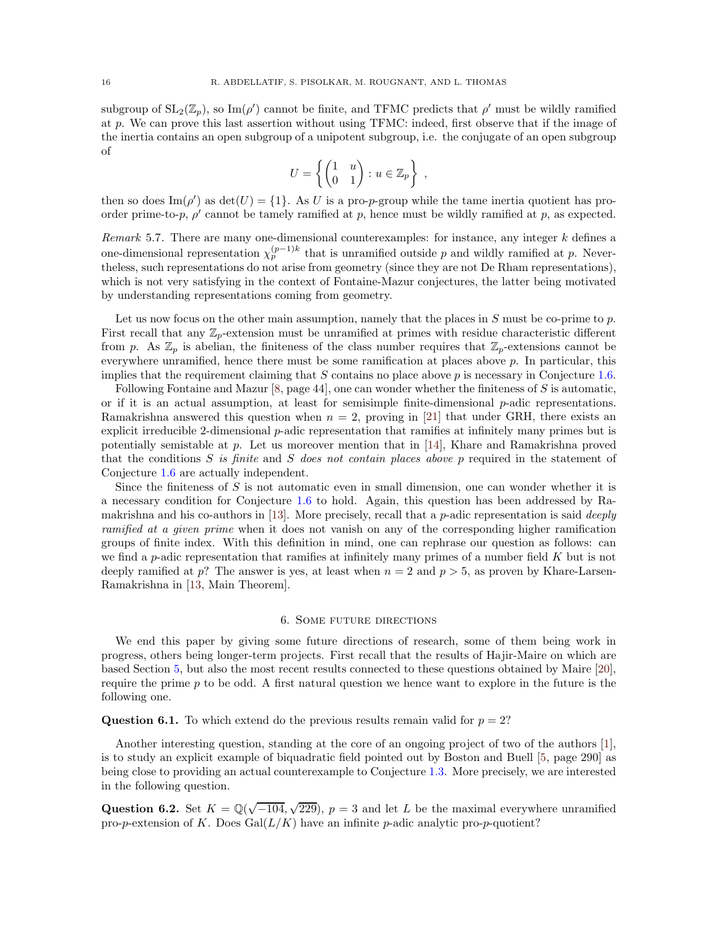<span id="page-15-1"></span>subgroup of  $SL_2(\mathbb{Z}_p)$ , so  $\text{Im}(\rho')$  cannot be finite, and TFMC predicts that  $\rho'$  must be wildly ramified at p. We can prove this last assertion without using TFMC: indeed, first observe that if the image of the inertia contains an open subgroup of a unipotent subgroup, i.e. the conjugate of an open subgroup of

$$
U = \left\{ \begin{pmatrix} 1 & u \\ 0 & 1 \end{pmatrix} : u \in \mathbb{Z}_p \right\} ,
$$

then so does  $\text{Im}(\rho')$  as  $\det(U) = \{1\}$ . As U is a pro-p-group while the tame inertia quotient has proorder prime-to-p,  $\rho'$  cannot be tamely ramified at p, hence must be wildly ramified at p, as expected.

Remark 5.7. There are many one-dimensional counterexamples: for instance, any integer  $k$  defines a one-dimensional representation  $\chi_p^{(p-1)k}$  that is unramified outside p and wildly ramified at p. Nevertheless, such representations do not arise from geometry (since they are not De Rham representations), which is not very satisfying in the context of Fontaine-Mazur conjectures, the latter being motivated by understanding representations coming from geometry.

Let us now focus on the other main assumption, namely that the places in  $S$  must be co-prime to  $p$ . First recall that any  $\mathbb{Z}_p$ -extension must be unramified at primes with residue characteristic different from p. As  $\mathbb{Z}_p$  is abelian, the finiteness of the class number requires that  $\mathbb{Z}_p$ -extensions cannot be everywhere unramified, hence there must be some ramification at places above  $p$ . In particular, this implies that the requirement claiming that  $S$  contains no place above  $p$  is necessary in Conjecture [1.6.](#page-2-1)

Following Fontaine and Mazur  $[8, \text{page 44}]$ , one can wonder whether the finiteness of S is automatic, or if it is an actual assumption, at least for semisimple finite-dimensional  $p$ -adic representations. Ramakrishna answered this question when  $n = 2$ , proving in [\[21\]](#page-16-22) that under GRH, there exists an explicit irreducible 2-dimensional *p*-adic representation that ramifies at infinitely many primes but is potentially semistable at p. Let us moreover mention that in [\[14\]](#page-16-23), Khare and Ramakrishna proved that the conditions  $S$  is finite and  $S$  does not contain places above p required in the statement of Conjecture [1.6](#page-2-1) are actually independent.

Since the finiteness of  $S$  is not automatic even in small dimension, one can wonder whether it is a necessary condition for Conjecture [1.6](#page-2-1) to hold. Again, this question has been addressed by Ra-makrishna and his co-authors in [\[13\]](#page-16-24). More precisely, recall that a  $p$ -adic representation is said *deeply* ramified at a given prime when it does not vanish on any of the corresponding higher ramification groups of finite index. With this definition in mind, one can rephrase our question as follows: can we find a p-adic representation that ramifies at infinitely many primes of a number field  $K$  but is not deeply ramified at p? The answer is yes, at least when  $n = 2$  and  $p > 5$ , as proven by Khare-Larsen-Ramakrishna in [\[13,](#page-16-24) Main Theorem].

### 6. Some future directions

<span id="page-15-0"></span>We end this paper by giving some future directions of research, some of them being work in progress, others being longer-term projects. First recall that the results of Hajir-Maire on which are based Section [5,](#page-11-0) but also the most recent results connected to these questions obtained by Maire [\[20\]](#page-16-25), require the prime p to be odd. A first natural question we hence want to explore in the future is the following one.

**Question 6.1.** To which extend do the previous results remain valid for  $p = 2$ ?

Another interesting question, standing at the core of an ongoing project of two of the authors [\[1\]](#page-16-26), is to study an explicit example of biquadratic field pointed out by Boston and Buell [\[5,](#page-16-10) page 290] as being close to providing an actual counterexample to Conjecture [1.3.](#page-1-1) More precisely, we are interested in the following question.

Question 6.2. Set  $K = \mathbb{Q}(\sqrt{-104}, \sqrt{229})$ ,  $p = 3$  and let L be the maximal everywhere unramified pro-p-extension of K. Does  $Gal(L/K)$  have an infinite p-adic analytic pro-p-quotient?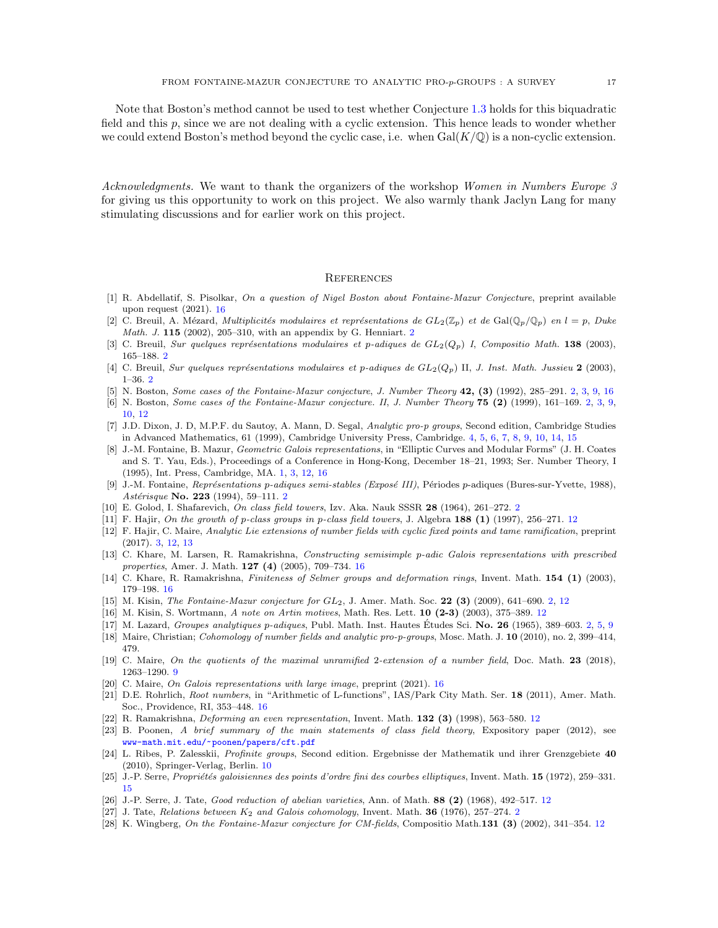Note that Boston's method cannot be used to test whether Conjecture [1.3](#page-1-1) holds for this biquadratic field and this  $p$ , since we are not dealing with a cyclic extension. This hence leads to wonder whether we could extend Boston's method beyond the cyclic case, i.e. when  $Gal(K/\mathbb{Q})$  is a non-cyclic extension.

Acknowledgments. We want to thank the organizers of the workshop Women in Numbers Europe 3 for giving us this opportunity to work on this project. We also warmly thank Jaclyn Lang for many stimulating discussions and for earlier work on this project.

#### <span id="page-16-0"></span>**REFERENCES**

- <span id="page-16-26"></span>[1] R. Abdellatif, S. Pisolkar, On a question of Nigel Boston about Fontaine-Mazur Conjecture, preprint available upon request (2021). [16](#page-15-1)
- <span id="page-16-5"></span>[2] C. Breuil, A. Mézard, *Multiplicités modulaires et représentations de GL*<sub>2</sub>( $\mathbb{Z}_p$ ) *et de* Gal( $\mathbb{Q}_p/\mathbb{Q}_p$ ) *en l* = *p*, *Duke* Math. J. 115 (2002), 205–310, with an appendix by G. Henniart. [2](#page-1-3)
- <span id="page-16-7"></span><span id="page-16-6"></span>[3] C. Breuil, Sur quelques représentations modulaires et p-adiques de  $GL_2(Q_p)$  I, Compositio Math. 138 (2003), 165–188. [2](#page-1-3)
- <span id="page-16-10"></span>[4] C. Breuil, Sur quelques représentations modulaires et p-adiques de  $GL_2(Q_p)$  II, J. Inst. Math. Jussieu 2 (2003), 1–36. [2](#page-1-3)
- <span id="page-16-11"></span>[5] N. Boston, Some cases of the Fontaine-Mazur conjecture, J. Number Theory 4[2,](#page-1-3) (3) (1992), 285–291. 2, [3,](#page-2-4) [9,](#page-8-5) [16](#page-15-1)
- [6] N. Boston, Some cases of the Fontaine-Mazur conjecture. II, J. Number Theory 75 (2) (1999), 161–169. [2,](#page-1-3) [3,](#page-2-4) [9,](#page-8-5) [10,](#page-9-4) [12](#page-11-2)
- <span id="page-16-13"></span>[7] J.D. Dixon, J. D, M.P.F. du Sautoy, A. Mann, D. Segal, Analytic pro-p groups, Second edition, Cambridge Studies in Advanced Mathematics, 61 (1999), Cambridge University Press, Cambridge. [4,](#page-3-5) [5,](#page-4-7) [6,](#page-5-1) [7,](#page-6-1) [8,](#page-7-1) [9,](#page-8-5) [10,](#page-9-4) [14,](#page-13-2) [15](#page-14-2)
- <span id="page-16-1"></span>[8] J.-M. Fontaine, B. Mazur, Geometric Galois representations, in "Elliptic Curves and Modular Forms" (J. H. Coates and S. T. Yau, Eds.), Proceedings of a Conference in Hong-Kong, December 18–21, 1993; Ser. Number Theory, I (1995), Int. Press, Cambridge, MA. [1,](#page-0-1) [3,](#page-2-4) [12,](#page-11-2) [16](#page-15-1)
- <span id="page-16-2"></span>[9] J.-M. Fontaine, Représentations p-adiques semi-stables (Exposé III), Périodes p-adiques (Bures-sur-Yvette, 1988), Astérisque No. [2](#page-1-3)23 (1994), 59-111. 2
- <span id="page-16-16"></span><span id="page-16-8"></span>[10] E. Golod, I. Shafarevich, On class field towers, Izv. Aka. Nauk SSSR 28 (1964), 261–272. [2](#page-1-3)
- <span id="page-16-12"></span>[11] F. Hajir, On the growth of p-class groups in p-class field towers, J. Algebra 188 (1) (1997), 256–271. [12](#page-11-2)
- [12] F. Hajir, C. Maire, Analytic Lie extensions of number fields with cyclic fixed points and tame ramification, preprint (2017). [3,](#page-2-4) [12,](#page-11-2) [13](#page-12-2)
- <span id="page-16-24"></span>[13] C. Khare, M. Larsen, R. Ramakrishna, Constructing semisimple p-adic Galois representations with prescribed properties, Amer. J. Math. 127 (4) (2005), 709–734. [16](#page-15-1)
- <span id="page-16-23"></span><span id="page-16-4"></span>[14] C. Khare, R. Ramakrishna, Finiteness of Selmer groups and deformation rings, Invent. Math. 154 (1) (2003), 179–198. [16](#page-15-1)
- <span id="page-16-19"></span>[15] M. Kisin, *The Fontaine-Mazur conjecture for*  $GL_2$ *, J. Amer. Math. Soc.* **22 (3)** (2009), 641–690. [2,](#page-1-3) [12](#page-11-2)
- <span id="page-16-9"></span>[16] M. Kisin, S. Wortmann, A note on Artin motives, Math. Res. Lett. 10 (2-3) (2003), 375–389. [12](#page-11-2)
- [17] M. Lazard, Groupes analytiques p-adiques, Publ. Math. Inst. Hautes Études Sci. No. 26 (1965), 389–603. [2,](#page-1-3) [5,](#page-4-7) [9](#page-8-5)
- <span id="page-16-14"></span>[18] Maire, Christian; Cohomology of number fields and analytic pro-p-groups, Mosc. Math. J. 10 (2010), no. 2, 399-414, 479.
- <span id="page-16-25"></span>[19] C. Maire, On the quotients of the maximal unramified 2-extension of a number field, Doc. Math. 23 (2018), 1263–1290. [9](#page-8-5)
- <span id="page-16-22"></span>[20] C. Maire, On Galois representations with large image, preprint (2021). [16](#page-15-1)
- [21] D.E. Rohrlich, Root numbers, in "Arithmetic of L-functions", IAS/Park City Math. Ser. 18 (2011), Amer. Math. Soc., Providence, RI, 353–448. [16](#page-15-1)
- <span id="page-16-17"></span>[22] R. Ramakrishna, Deforming an even representation, Invent. Math. 132 (3) (1998), 563–580. [12](#page-11-2)
- [23] B. Poonen, A brief summary of the main statements of class field theory, Expository paper (2012), see <www-math.mit.edu/~poonen/papers/cft.pdf>
- <span id="page-16-15"></span>[24] L. Ribes, P. Zalesskii, Profinite groups, Second edition. Ergebnisse der Mathematik und ihrer Grenzgebiete 40 (2010), Springer-Verlag, Berlin. [10](#page-9-4)
- <span id="page-16-21"></span>[25] J.-P. Serre, Propriétés galoisiennes des points d'ordre fini des courbes elliptiques, Invent. Math. 15 (1972), 259–331. [15](#page-14-2)
- <span id="page-16-18"></span><span id="page-16-3"></span>[26] J.-P. Serre, J. Tate, Good reduction of abelian varieties, Ann. of Math. 88 (2) (1968), 492–517. [12](#page-11-2)
- <span id="page-16-20"></span>[[2](#page-1-3)7] J. Tate, Relations between  $K_2$  and Galois cohomology, Invent. Math. 36 (1976), 257–274. 2
- [28] K. Wingberg, On the Fontaine-Mazur conjecture for CM-fields, Compositio Math.131 (3) (2002), 341–354. [12](#page-11-2)